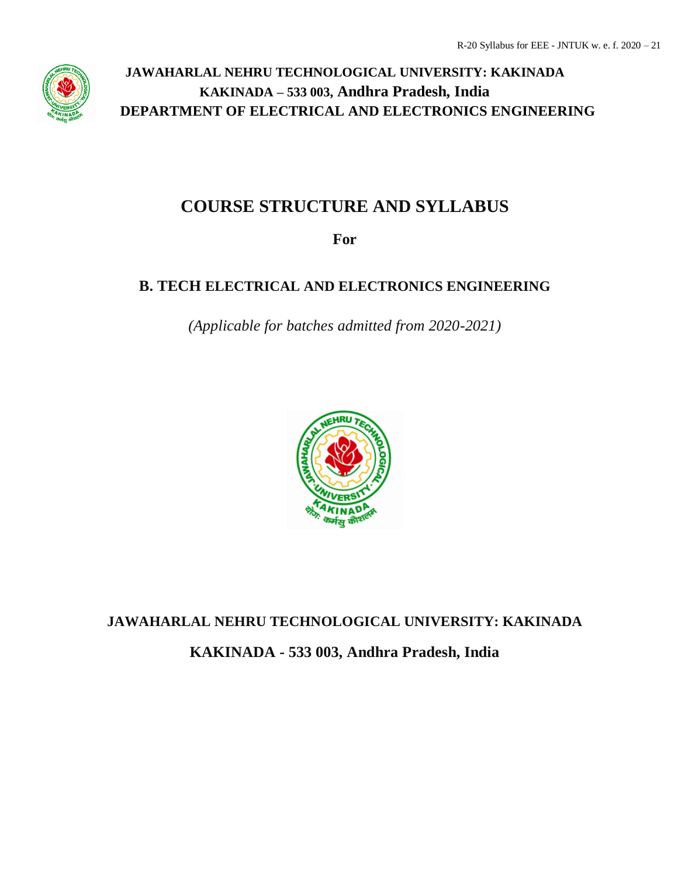

## **COURSE STRUCTURE AND SYLLABUS**

**For**

## **B. TECH ELECTRICAL AND ELECTRONICS ENGINEERING**

*(Applicable for batches admitted from 2020-2021)*



# **JAWAHARLAL NEHRU TECHNOLOGICAL UNIVERSITY: KAKINADA**

**KAKINADA - 533 003, Andhra Pradesh, India**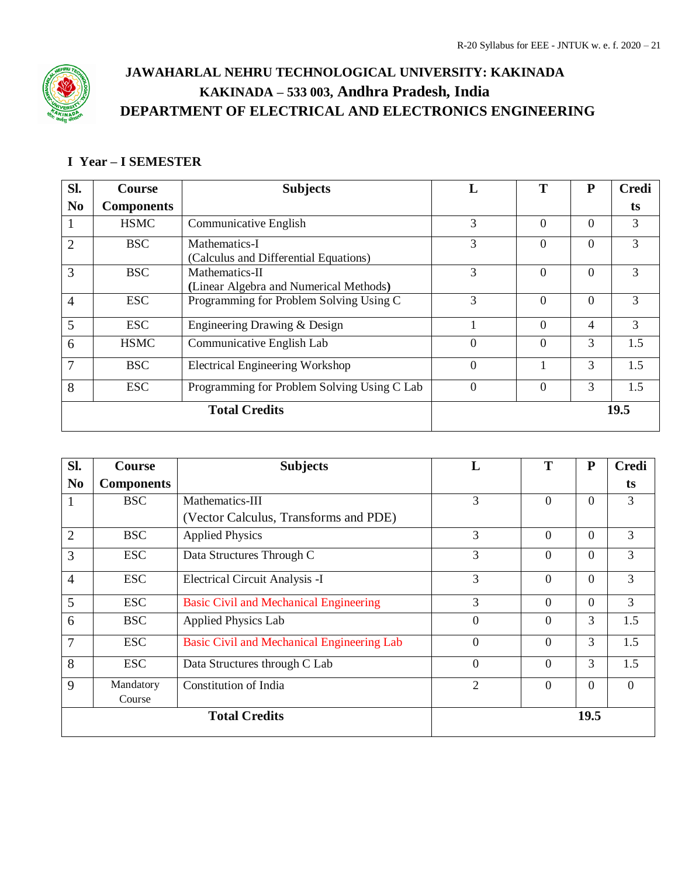

## **I Year – I SEMESTER**

| Sl.            | Course            | <b>Subjects</b>                             |                | Т              | P              | <b>Credi</b> |
|----------------|-------------------|---------------------------------------------|----------------|----------------|----------------|--------------|
| N <sub>0</sub> | <b>Components</b> |                                             |                |                |                | ts           |
|                | <b>HSMC</b>       | Communicative English                       | 3              | $\overline{0}$ | $\overline{0}$ | 3            |
| 2              | BSC               | Mathematics-I                               | 3              | $\overline{0}$ | $\Omega$       | 3            |
|                |                   | (Calculus and Differential Equations)       |                |                |                |              |
| 3              | <b>BSC</b>        | Mathematics-II                              | 3              | $\Omega$       | $\Omega$       | 3            |
|                |                   | (Linear Algebra and Numerical Methods)      |                |                |                |              |
| $\overline{4}$ | <b>ESC</b>        | Programming for Problem Solving Using C     | 3              | $\Omega$       | $\Omega$       | 3            |
| 5              | <b>ESC</b>        | Engineering Drawing & Design                |                | $\Omega$       | 4              | 3            |
| 6              | <b>HSMC</b>       | Communicative English Lab                   | $\overline{0}$ | $\overline{0}$ | 3              | 1.5          |
|                | <b>BSC</b>        | <b>Electrical Engineering Workshop</b>      | $\theta$       |                | 3              | 1.5          |
| 8              | <b>ESC</b>        | Programming for Problem Solving Using C Lab | $\theta$       | $\overline{0}$ | 3              | 1.5          |
|                |                   | <b>Total Credits</b>                        |                |                |                | 19.5         |

| Sl.            | <b>Course</b>     | <b>Subjects</b>                                   | L              |                | ${\bf P}$      | <b>Credi</b>   |
|----------------|-------------------|---------------------------------------------------|----------------|----------------|----------------|----------------|
| N <sub>0</sub> | <b>Components</b> |                                                   |                |                |                | ts             |
|                | <b>BSC</b>        | Mathematics-III                                   | $\mathfrak{Z}$ | $\overline{0}$ | $\theta$       | 3              |
|                |                   | (Vector Calculus, Transforms and PDE)             |                |                |                |                |
| $\overline{2}$ | <b>BSC</b>        | <b>Applied Physics</b>                            | 3              | $\overline{0}$ | $\theta$       | 3              |
| 3              | <b>ESC</b>        | Data Structures Through C                         | 3              | $\theta$       | $\Omega$       | 3              |
| $\overline{4}$ | <b>ESC</b>        | Electrical Circuit Analysis -I                    | 3              | $\overline{0}$ | $\theta$       | 3              |
| 5              | <b>ESC</b>        | <b>Basic Civil and Mechanical Engineering</b>     | $\overline{3}$ | $\Omega$       | $\Omega$       | 3              |
| 6              | <b>BSC</b>        | <b>Applied Physics Lab</b>                        | $\overline{0}$ | $\Omega$       | 3              | 1.5            |
| 7              | <b>ESC</b>        | <b>Basic Civil and Mechanical Engineering Lab</b> | $\overline{0}$ | $\overline{0}$ | 3              | 1.5            |
| 8              | <b>ESC</b>        | Data Structures through C Lab                     | $\overline{0}$ | $\overline{0}$ | 3              | 1.5            |
| 9              | Mandatory         | <b>Constitution of India</b>                      | $\overline{2}$ | $\theta$       | $\overline{0}$ | $\overline{0}$ |
|                | Course            |                                                   |                |                |                |                |
|                |                   | <b>Total Credits</b>                              |                |                | 19.5           |                |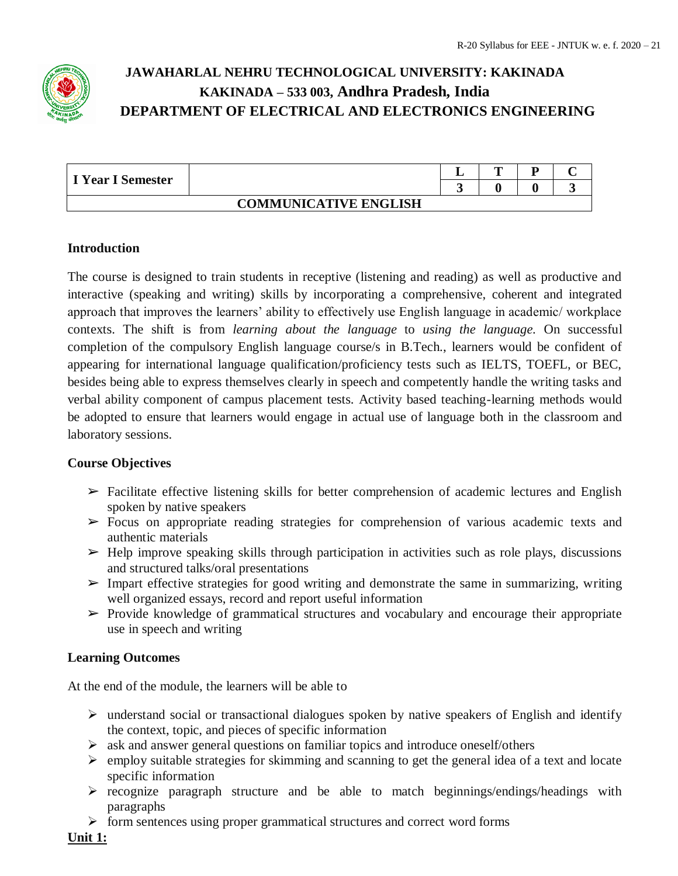

| I Year I Semester |                              | m | m |  |
|-------------------|------------------------------|---|---|--|
|                   |                              |   |   |  |
|                   | <b>COMMUNICATIVE ENGLISH</b> |   |   |  |

## **Introduction**

The course is designed to train students in receptive (listening and reading) as well as productive and interactive (speaking and writing) skills by incorporating a comprehensive, coherent and integrated approach that improves the learners' ability to effectively use English language in academic/ workplace contexts. The shift is from *learning about the language* to *using the language*. On successful completion of the compulsory English language course/s in B.Tech., learners would be confident of appearing for international language qualification/proficiency tests such as IELTS, TOEFL, or BEC, besides being able to express themselves clearly in speech and competently handle the writing tasks and verbal ability component of campus placement tests. Activity based teaching-learning methods would be adopted to ensure that learners would engage in actual use of language both in the classroom and laboratory sessions.

## **Course Objectives**

- $\triangleright$  Facilitate effective listening skills for better comprehension of academic lectures and English spoken by native speakers
- $\triangleright$  Focus on appropriate reading strategies for comprehension of various academic texts and authentic materials
- $\blacktriangleright$  Help improve speaking skills through participation in activities such as role plays, discussions and structured talks/oral presentations
- $\triangleright$  Impart effective strategies for good writing and demonstrate the same in summarizing, writing well organized essays, record and report useful information
- $\triangleright$  Provide knowledge of grammatical structures and vocabulary and encourage their appropriate use in speech and writing

## **Learning Outcomes**

At the end of the module, the learners will be able to

- $\triangleright$  understand social or transactional dialogues spoken by native speakers of English and identify the context, topic, and pieces of specific information
- $\triangleright$  ask and answer general questions on familiar topics and introduce oneself/others
- $\triangleright$  employ suitable strategies for skimming and scanning to get the general idea of a text and locate specific information
- $\triangleright$  recognize paragraph structure and be able to match beginnings/endings/headings with paragraphs
- $\triangleright$  form sentences using proper grammatical structures and correct word forms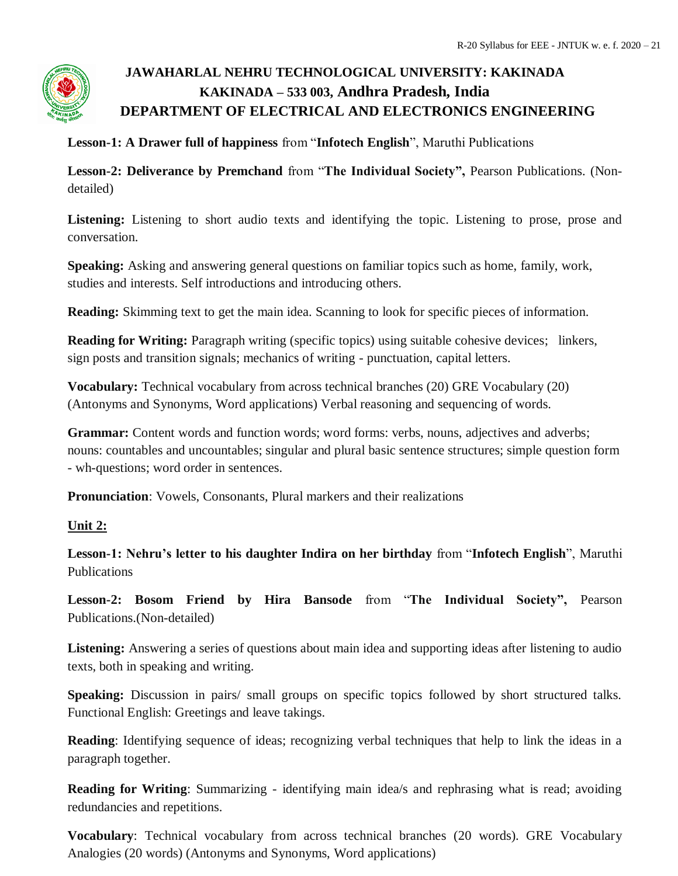

**Lesson-1: A Drawer full of happiness** from "**Infotech English**", Maruthi Publications

**Lesson-2: Deliverance by Premchand** from "**The Individual Society",** Pearson Publications. (Nondetailed)

**Listening:** Listening to short audio texts and identifying the topic. Listening to prose, prose and conversation.

**Speaking:** Asking and answering general questions on familiar topics such as home, family, work, studies and interests. Self introductions and introducing others.

**Reading:** Skimming text to get the main idea. Scanning to look for specific pieces of information.

**Reading for Writing:** Paragraph writing (specific topics) using suitable cohesive devices; linkers, sign posts and transition signals; mechanics of writing - punctuation, capital letters.

**Vocabulary:** Technical vocabulary from across technical branches (20) GRE Vocabulary (20) (Antonyms and Synonyms, Word applications) Verbal reasoning and sequencing of words.

**Grammar:** Content words and function words; word forms: verbs, nouns, adjectives and adverbs; nouns: countables and uncountables; singular and plural basic sentence structures; simple question form - wh-questions; word order in sentences.

**Pronunciation**: Vowels, Consonants, Plural markers and their realizations

## **Unit 2:**

**Lesson-1: Nehru's letter to his daughter Indira on her birthday** from "**Infotech English**", Maruthi Publications

**Lesson-2: Bosom Friend by Hira Bansode** from "**The Individual Society",** Pearson Publications.(Non-detailed)

**Listening:** Answering a series of questions about main idea and supporting ideas after listening to audio texts, both in speaking and writing.

**Speaking:** Discussion in pairs/ small groups on specific topics followed by short structured talks. Functional English: Greetings and leave takings.

**Reading**: Identifying sequence of ideas; recognizing verbal techniques that help to link the ideas in a paragraph together.

**Reading for Writing**: Summarizing - identifying main idea/s and rephrasing what is read; avoiding redundancies and repetitions.

**Vocabulary**: Technical vocabulary from across technical branches (20 words). GRE Vocabulary Analogies (20 words) (Antonyms and Synonyms, Word applications)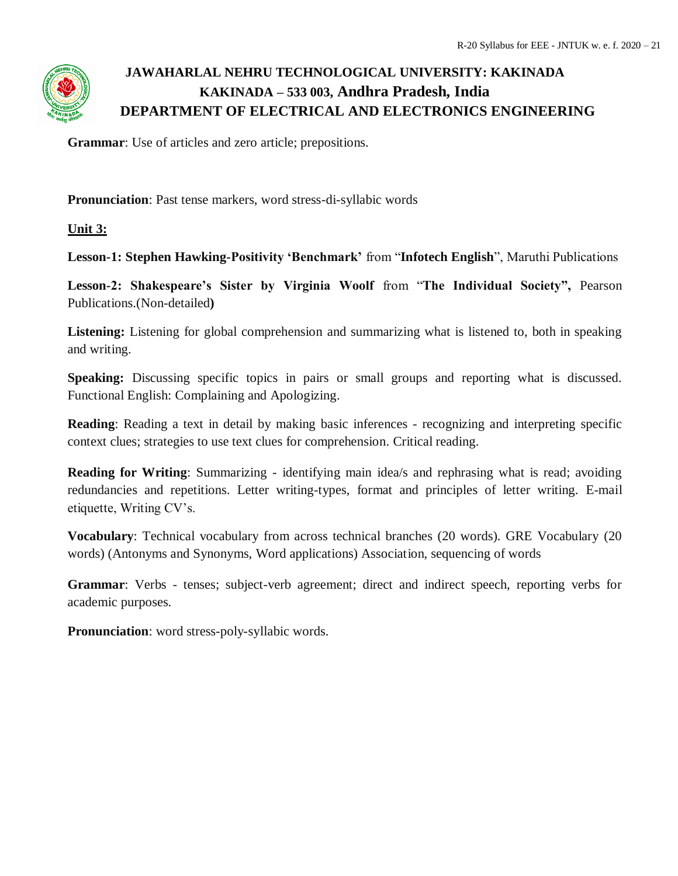

**Grammar**: Use of articles and zero article; prepositions.

**Pronunciation**: Past tense markers, word stress-di-syllabic words

**Unit 3:**

**Lesson-1: Stephen Hawking-Positivity 'Benchmark'** from "**Infotech English**", Maruthi Publications

**Lesson-2: Shakespeare's Sister by Virginia Woolf** from "**The Individual Society",** Pearson Publications.(Non-detailed**)**

**Listening:** Listening for global comprehension and summarizing what is listened to, both in speaking and writing.

**Speaking:** Discussing specific topics in pairs or small groups and reporting what is discussed. Functional English: Complaining and Apologizing.

**Reading**: Reading a text in detail by making basic inferences - recognizing and interpreting specific context clues; strategies to use text clues for comprehension. Critical reading.

**Reading for Writing**: Summarizing - identifying main idea/s and rephrasing what is read; avoiding redundancies and repetitions. Letter writing-types, format and principles of letter writing. E-mail etiquette, Writing CV's.

**Vocabulary**: Technical vocabulary from across technical branches (20 words). GRE Vocabulary (20 words) (Antonyms and Synonyms, Word applications) Association, sequencing of words

**Grammar**: Verbs - tenses; subject-verb agreement; direct and indirect speech, reporting verbs for academic purposes.

**Pronunciation**: word stress-poly-syllabic words.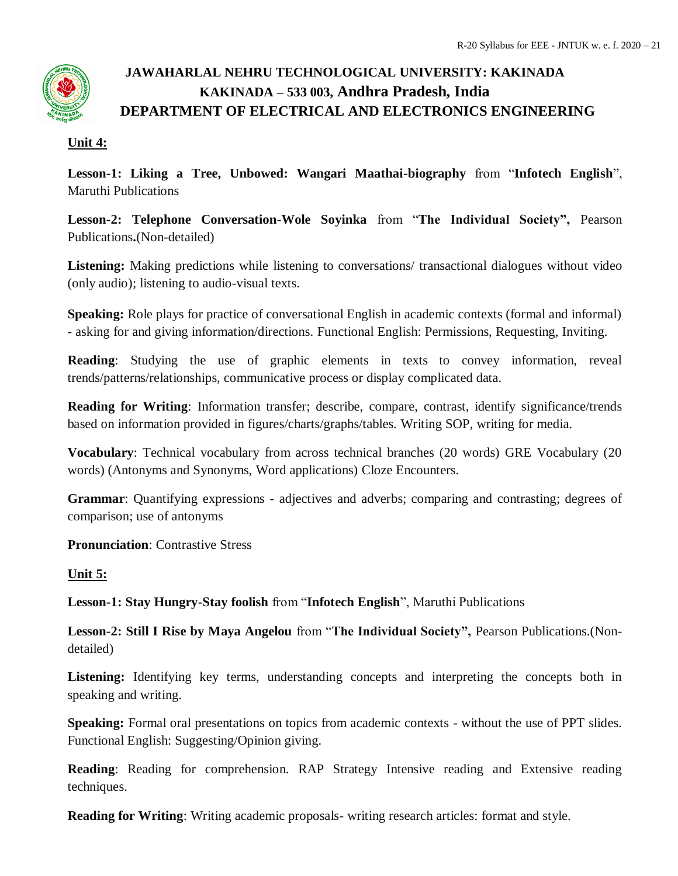## **Unit 4:**

**Lesson-1: Liking a Tree, Unbowed: Wangari Maathai-biography** from "**Infotech English**", Maruthi Publications

**Lesson-2: Telephone Conversation-Wole Soyinka** from "**The Individual Society",** Pearson Publications**.**(Non-detailed)

**Listening:** Making predictions while listening to conversations/ transactional dialogues without video (only audio); listening to audio-visual texts.

**Speaking:** Role plays for practice of conversational English in academic contexts (formal and informal) - asking for and giving information/directions. Functional English: Permissions, Requesting, Inviting.

**Reading**: Studying the use of graphic elements in texts to convey information, reveal trends/patterns/relationships, communicative process or display complicated data.

**Reading for Writing**: Information transfer; describe, compare, contrast, identify significance/trends based on information provided in figures/charts/graphs/tables. Writing SOP, writing for media.

**Vocabulary**: Technical vocabulary from across technical branches (20 words) GRE Vocabulary (20 words) (Antonyms and Synonyms, Word applications) Cloze Encounters.

**Grammar**: Quantifying expressions - adjectives and adverbs; comparing and contrasting; degrees of comparison; use of antonyms

**Pronunciation**: Contrastive Stress

## **Unit 5:**

**Lesson-1: Stay Hungry-Stay foolish** from "**Infotech English**", Maruthi Publications

**Lesson-2: Still I Rise by Maya Angelou** from "**The Individual Society",** Pearson Publications.(Nondetailed)

Listening: Identifying key terms, understanding concepts and interpreting the concepts both in speaking and writing.

**Speaking:** Formal oral presentations on topics from academic contexts - without the use of PPT slides. Functional English: Suggesting/Opinion giving.

**Reading**: Reading for comprehension. RAP Strategy Intensive reading and Extensive reading techniques.

**Reading for Writing**: Writing academic proposals- writing research articles: format and style.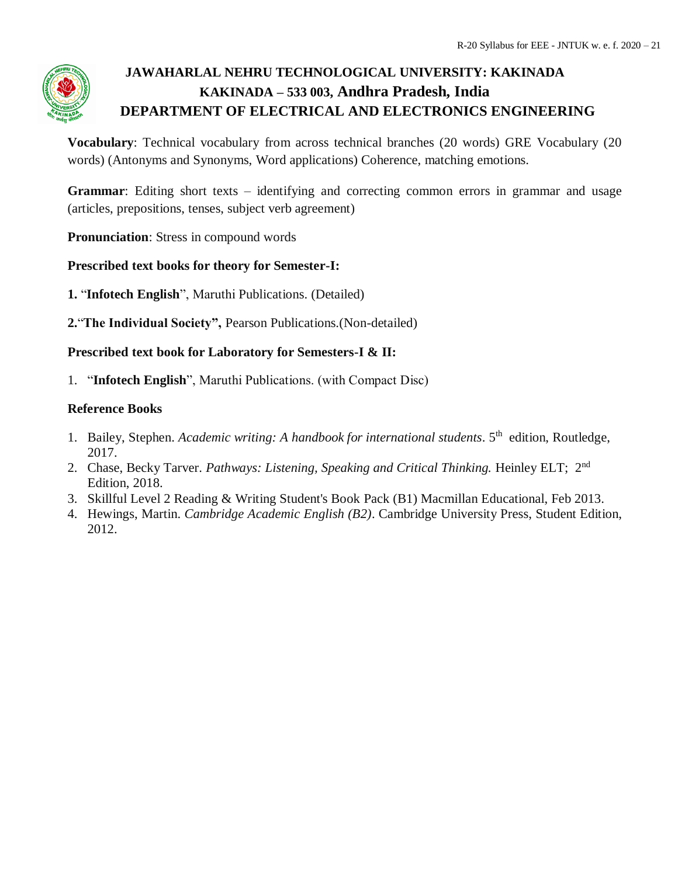

**Vocabulary**: Technical vocabulary from across technical branches (20 words) GRE Vocabulary (20 words) (Antonyms and Synonyms, Word applications) Coherence, matching emotions.

**Grammar**: Editing short texts – identifying and correcting common errors in grammar and usage (articles, prepositions, tenses, subject verb agreement)

**Pronunciation**: Stress in compound words

**Prescribed text books for theory for Semester-I:** 

**1.** "**Infotech English**", Maruthi Publications. (Detailed)

**2.**"**The Individual Society",** Pearson Publications.(Non-detailed)

**Prescribed text book for Laboratory for Semesters-I & II:**

1. "**Infotech English**", Maruthi Publications. (with Compact Disc)

## **Reference Books**

- 1. Bailey, Stephen. Academic writing: A handbook for international students. 5<sup>th</sup> edition, Routledge, 2017.
- 2. Chase, Becky Tarver. Pathways: Listening, Speaking and Critical Thinking. Heinley ELT; 2<sup>nd</sup> Edition, 2018.
- 3. Skillful Level 2 Reading & Writing Student's Book Pack (B1) Macmillan Educational, Feb 2013.
- 4. Hewings, Martin. *Cambridge Academic English (B2)*. Cambridge University Press, Student Edition, 2012.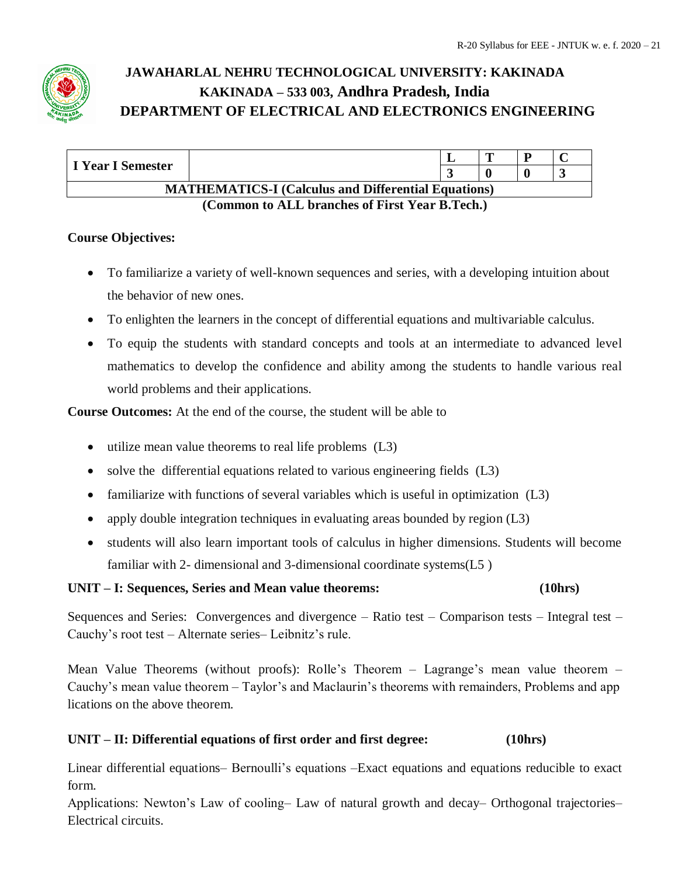

| I Year I Semester                                                                   |  |  |  |  |  |  |  |
|-------------------------------------------------------------------------------------|--|--|--|--|--|--|--|
|                                                                                     |  |  |  |  |  |  |  |
| <b>MATHEMATICS-I</b> (Calculus and Differential Equations)                          |  |  |  |  |  |  |  |
| $(Common \in M$ I huanches of $\mathbf{E}$ and $\mathbf{V}_{con}$ D $\mathbf{Teak}$ |  |  |  |  |  |  |  |

## **(Common to ALL branches of First Year B.Tech.)**

## **Course Objectives:**

- To familiarize a variety of well-known sequences and series, with a developing intuition about the behavior of new ones.
- To enlighten the learners in the concept of differential equations and multivariable calculus.
- To equip the students with standard concepts and tools at an intermediate to advanced level mathematics to develop the confidence and ability among the students to handle various real world problems and their applications.

**Course Outcomes:** At the end of the course, the student will be able to

- utilize mean value theorems to real life problems (L3)
- solve the differential equations related to various engineering fields (L3)
- familiarize with functions of several variables which is useful in optimization (L3)
- apply double integration techniques in evaluating areas bounded by region (L3)
- students will also learn important tools of calculus in higher dimensions. Students will become familiar with 2- dimensional and 3-dimensional coordinate systems(L5 )

## **UNIT – I: Sequences, Series and Mean value theorems: (10hrs)**

Sequences and Series: Convergences and divergence – Ratio test – Comparison tests – Integral test – Cauchy's root test – Alternate series– Leibnitz's rule.

Mean Value Theorems (without proofs): Rolle's Theorem – Lagrange's mean value theorem – Cauchy's mean value theorem – Taylor's and Maclaurin's theorems with remainders, Problems and app lications on the above theorem.

## **UNIT – II: Differential equations of first order and first degree: (10hrs)**

Linear differential equations– Bernoulli's equations –Exact equations and equations reducible to exact form.

Applications: Newton's Law of cooling– Law of natural growth and decay– Orthogonal trajectories– Electrical circuits.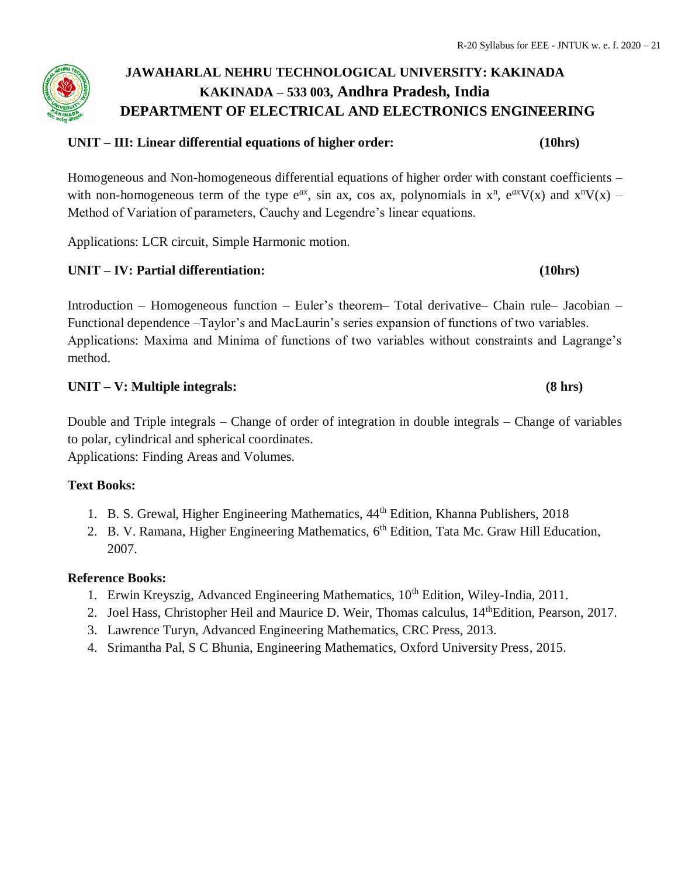### **UNIT – III: Linear differential equations of higher order: (10hrs)**

Homogeneous and Non-homogeneous differential equations of higher order with constant coefficients – with non-homogeneous term of the type  $e^{ax}$ , sin ax, cos ax, polynomials in  $x^n$ ,  $e^{ax}V(x)$  and  $x^nV(x)$  – Method of Variation of parameters, Cauchy and Legendre's linear equations.

Applications: LCR circuit, Simple Harmonic motion.

## **UNIT – IV: Partial differentiation: (10hrs)**

Introduction – Homogeneous function – Euler's theorem– Total derivative– Chain rule– Jacobian – Functional dependence –Taylor's and MacLaurin's series expansion of functions of two variables. Applications: Maxima and Minima of functions of two variables without constraints and Lagrange's method.

#### **UNIT – V: Multiple integrals: (8 hrs)**

Double and Triple integrals – Change of order of integration in double integrals – Change of variables to polar, cylindrical and spherical coordinates.

Applications: Finding Areas and Volumes.

#### **Text Books:**

- 1. B. S. Grewal, Higher Engineering Mathematics,  $44^{\text{th}}$  Edition, Khanna Publishers, 2018
- 2. B. V. Ramana, Higher Engineering Mathematics, 6<sup>th</sup> Edition, Tata Mc. Graw Hill Education, 2007.

#### **Reference Books:**

- 1. Erwin Kreyszig, Advanced Engineering Mathematics, 10<sup>th</sup> Edition, Wiley-India, 2011.
- 2. Joel Hass, Christopher Heil and Maurice D. Weir, Thomas calculus, 14<sup>th</sup>Edition, Pearson, 2017.
- 3. Lawrence Turyn, Advanced Engineering Mathematics, CRC Press, 2013.
- 4. Srimantha Pal, S C Bhunia, Engineering Mathematics, Oxford University Press, 2015.

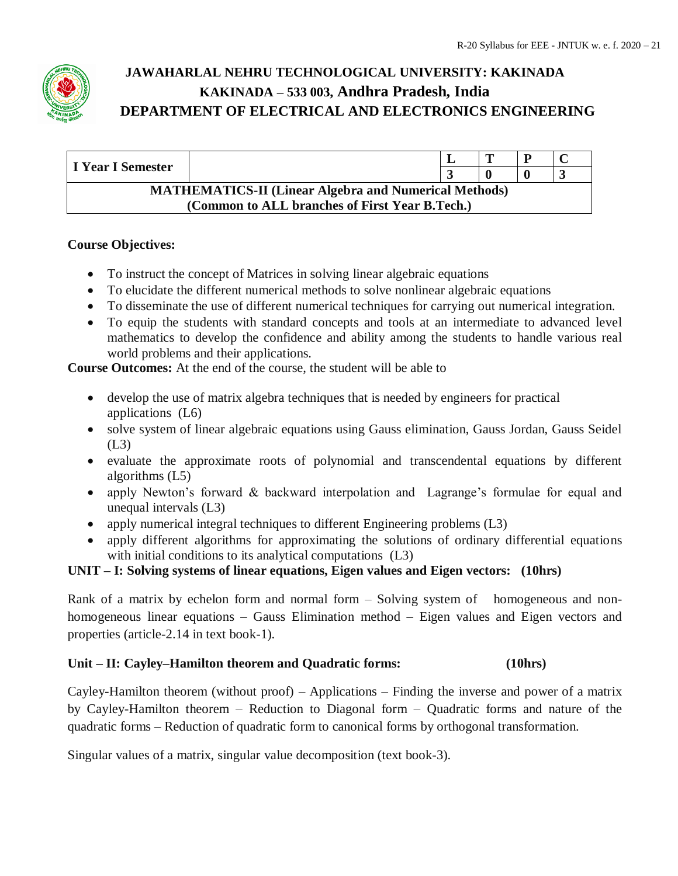

| I Year I Semester                                            |                                                |  | œ |  |  |  |  |  |  |
|--------------------------------------------------------------|------------------------------------------------|--|---|--|--|--|--|--|--|
|                                                              |                                                |  |   |  |  |  |  |  |  |
| <b>MATHEMATICS-II (Linear Algebra and Numerical Methods)</b> |                                                |  |   |  |  |  |  |  |  |
|                                                              | (Common to ALL branches of First Year B.Tech.) |  |   |  |  |  |  |  |  |

## **Course Objectives:**

- To instruct the concept of Matrices in solving linear algebraic equations
- To elucidate the different numerical methods to solve nonlinear algebraic equations
- To disseminate the use of different numerical techniques for carrying out numerical integration.
- To equip the students with standard concepts and tools at an intermediate to advanced level mathematics to develop the confidence and ability among the students to handle various real world problems and their applications.

**Course Outcomes:** At the end of the course, the student will be able to

- develop the use of matrix algebra techniques that is needed by engineers for practical applications (L6)
- solve system of linear algebraic equations using Gauss elimination, Gauss Jordan, Gauss Seidel  $(L3)$
- evaluate the approximate roots of polynomial and transcendental equations by different algorithms (L5)
- apply Newton's forward & backward interpolation and Lagrange's formulae for equal and unequal intervals (L3)
- apply numerical integral techniques to different Engineering problems (L3)
- apply different algorithms for approximating the solutions of ordinary differential equations with initial conditions to its analytical computations (L3)

## **UNIT – I: Solving systems of linear equations, Eigen values and Eigen vectors: (10hrs)**

Rank of a matrix by echelon form and normal form – Solving system of homogeneous and nonhomogeneous linear equations – Gauss Elimination method – Eigen values and Eigen vectors and properties (article-2.14 in text book-1).

## **Unit – II: Cayley–Hamilton theorem and Quadratic forms: (10hrs)**

Cayley-Hamilton theorem (without proof) – Applications – Finding the inverse and power of a matrix by Cayley-Hamilton theorem – Reduction to Diagonal form – Quadratic forms and nature of the quadratic forms – Reduction of quadratic form to canonical forms by orthogonal transformation.

Singular values of a matrix, singular value decomposition (text book-3).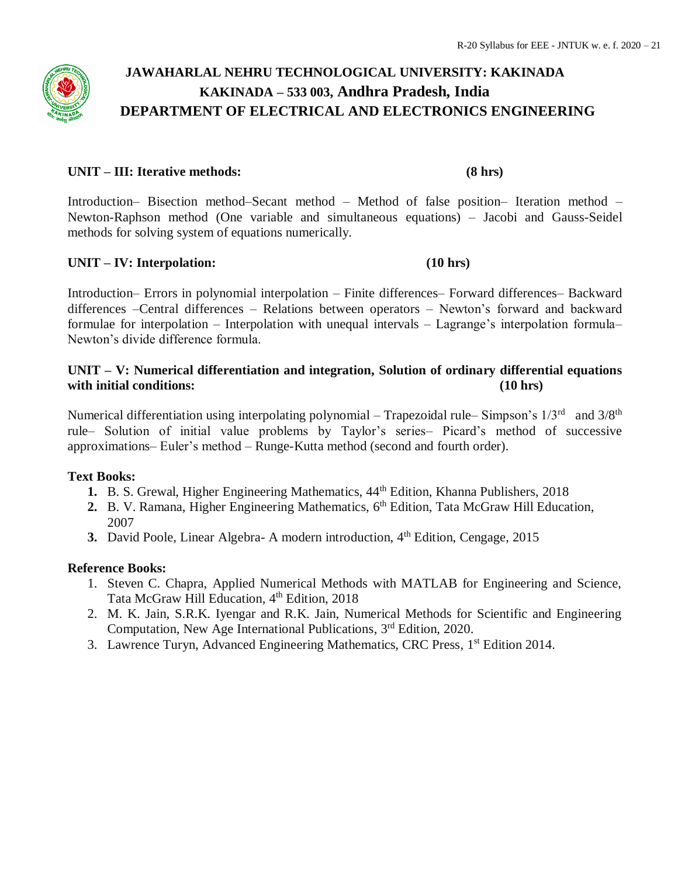#### **UNIT – III: Iterative methods: (8 hrs)**

Introduction– Bisection method–Secant method – Method of false position– Iteration method – Newton-Raphson method (One variable and simultaneous equations) – Jacobi and Gauss-Seidel methods for solving system of equations numerically.

#### **UNIT – IV: Interpolation: (10 hrs)**

Introduction– Errors in polynomial interpolation – Finite differences– Forward differences– Backward differences –Central differences – Relations between operators – Newton's forward and backward formulae for interpolation – Interpolation with unequal intervals – Lagrange's interpolation formula– Newton's divide difference formula.

## **UNIT – V: Numerical differentiation and integration, Solution of ordinary differential equations with initial conditions: (10 hrs)**

Numerical differentiation using interpolating polynomial – Trapezoidal rule–Simpson's 1/3<sup>rd</sup> and 3/8<sup>th</sup> rule– Solution of initial value problems by Taylor's series– Picard's method of successive approximations– Euler's method – Runge-Kutta method (second and fourth order).

#### **Text Books:**

- 1. B. S. Grewal, Higher Engineering Mathematics,  $44<sup>th</sup>$  Edition, Khanna Publishers, 2018
- 2. B. V. Ramana, Higher Engineering Mathematics, 6<sup>th</sup> Edition, Tata McGraw Hill Education, 2007
- **3.** David Poole, Linear Algebra- A modern introduction, 4<sup>th</sup> Edition, Cengage, 2015

#### **Reference Books:**

- 1. Steven C. Chapra, Applied Numerical Methods with MATLAB for Engineering and Science, Tata McGraw Hill Education, 4<sup>th</sup> Edition, 2018
- 2. M. K. Jain, S.R.K. Iyengar and R.K. Jain, Numerical Methods for Scientific and Engineering Computation, New Age International Publications, 3rd Edition, 2020.
- 3. Lawrence Turyn, Advanced Engineering Mathematics, CRC Press, 1<sup>st</sup> Edition 2014.

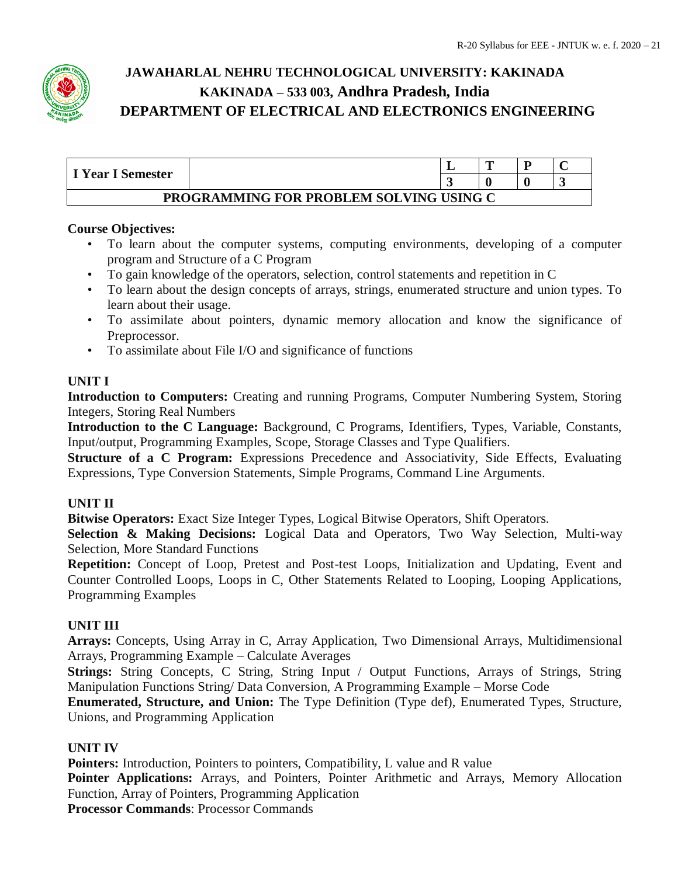

|                                         |  |  | m |  |  |  |  |  |
|-----------------------------------------|--|--|---|--|--|--|--|--|
| I Year I Semester                       |  |  |   |  |  |  |  |  |
| PROGRAMMING FOR PROBLEM SOLVING USING C |  |  |   |  |  |  |  |  |

## **Course Objectives:**

- To learn about the computer systems, computing environments, developing of a computer program and Structure of a C Program
- To gain knowledge of the operators, selection, control statements and repetition in C
- To learn about the design concepts of arrays, strings, enumerated structure and union types. To learn about their usage.
- To assimilate about pointers, dynamic memory allocation and know the significance of Preprocessor.
- To assimilate about File I/O and significance of functions

## **UNIT I**

**Introduction to Computers:** Creating and running Programs, Computer Numbering System, Storing Integers, Storing Real Numbers

**Introduction to the C Language:** Background, C Programs, Identifiers, Types, Variable, Constants, Input/output, Programming Examples, Scope, Storage Classes and Type Qualifiers.

**Structure of a C Program:** Expressions Precedence and Associativity, Side Effects, Evaluating Expressions, Type Conversion Statements, Simple Programs, Command Line Arguments.

## **UNIT II**

**Bitwise Operators:** Exact Size Integer Types, Logical Bitwise Operators, Shift Operators.

**Selection & Making Decisions:** Logical Data and Operators, Two Way Selection, Multi-way Selection, More Standard Functions

**Repetition:** Concept of Loop, Pretest and Post-test Loops, Initialization and Updating, Event and Counter Controlled Loops, Loops in C, Other Statements Related to Looping, Looping Applications, Programming Examples

## **UNIT III**

**Arrays:** Concepts, Using Array in C, Array Application, Two Dimensional Arrays, Multidimensional Arrays, Programming Example – Calculate Averages

**Strings:** String Concepts, C String, String Input / Output Functions, Arrays of Strings, String Manipulation Functions String/ Data Conversion, A Programming Example – Morse Code

**Enumerated, Structure, and Union:** The Type Definition (Type def), Enumerated Types, Structure, Unions, and Programming Application

## **UNIT IV**

**Pointers:** Introduction, Pointers to pointers, Compatibility, L value and R value Pointer Applications: Arrays, and Pointers, Pointer Arithmetic and Arrays, Memory Allocation Function, Array of Pointers, Programming Application **Processor Commands**: Processor Commands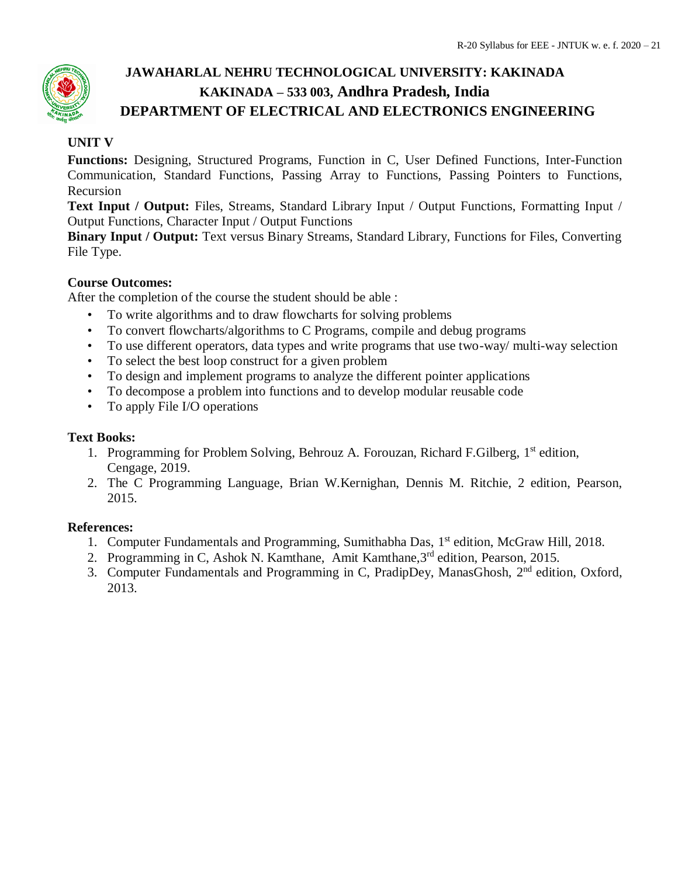## **UNIT V**

**Functions:** Designing, Structured Programs, Function in C, User Defined Functions, Inter-Function Communication, Standard Functions, Passing Array to Functions, Passing Pointers to Functions, Recursion

**Text Input / Output:** Files, Streams, Standard Library Input / Output Functions, Formatting Input / Output Functions, Character Input / Output Functions

**Binary Input / Output:** Text versus Binary Streams, Standard Library, Functions for Files, Converting File Type.

## **Course Outcomes:**

After the completion of the course the student should be able :

- To write algorithms and to draw flowcharts for solving problems
- To convert flowcharts/algorithms to C Programs, compile and debug programs
- To use different operators, data types and write programs that use two-way/ multi-way selection
- To select the best loop construct for a given problem
- To design and implement programs to analyze the different pointer applications
- To decompose a problem into functions and to develop modular reusable code
- To apply File I/O operations

## **Text Books:**

- 1. Programming for Problem Solving, Behrouz A. Forouzan, Richard F.Gilberg, 1<sup>st</sup> edition, Cengage, 2019.
- 2. The C Programming Language, Brian W.Kernighan, Dennis M. Ritchie, 2 edition, Pearson, 2015.

## **References:**

- 1. Computer Fundamentals and Programming, Sumithabha Das, 1<sup>st</sup> edition, McGraw Hill, 2018.
- 2. Programming in C, Ashok N. Kamthane, Amit Kamthane,  $3<sup>rd</sup>$  edition, Pearson, 2015.
- 3. Computer Fundamentals and Programming in C, PradipDey, ManasGhosh, 2<sup>nd</sup> edition, Oxford, 2013.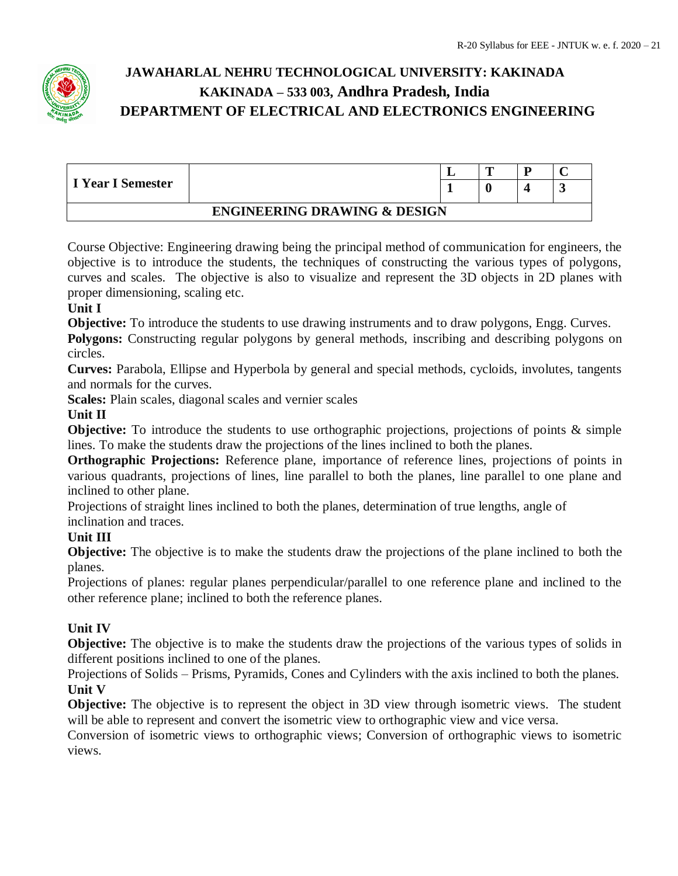

| I Year I Semester                       |  |  | m |  |   |  |  |
|-----------------------------------------|--|--|---|--|---|--|--|
|                                         |  |  |   |  | ັ |  |  |
| <b>ENGINEERING DRAWING &amp; DESIGN</b> |  |  |   |  |   |  |  |

Course Objective: Engineering drawing being the principal method of communication for engineers, the objective is to introduce the students, the techniques of constructing the various types of polygons, curves and scales. The objective is also to visualize and represent the 3D objects in 2D planes with proper dimensioning, scaling etc.

## **Unit I**

**Objective:** To introduce the students to use drawing instruments and to draw polygons, Engg. Curves.

**Polygons:** Constructing regular polygons by general methods, inscribing and describing polygons on circles.

**Curves:** Parabola, Ellipse and Hyperbola by general and special methods, cycloids, involutes, tangents and normals for the curves.

**Scales:** Plain scales, diagonal scales and vernier scales

## **Unit II**

**Objective:** To introduce the students to use orthographic projections, projections of points & simple lines. To make the students draw the projections of the lines inclined to both the planes.

**Orthographic Projections:** Reference plane, importance of reference lines, projections of points in various quadrants, projections of lines, line parallel to both the planes, line parallel to one plane and inclined to other plane.

Projections of straight lines inclined to both the planes, determination of true lengths, angle of inclination and traces.

## **Unit III**

**Objective:** The objective is to make the students draw the projections of the plane inclined to both the planes.

Projections of planes: regular planes perpendicular/parallel to one reference plane and inclined to the other reference plane; inclined to both the reference planes.

## **Unit IV**

**Objective:** The objective is to make the students draw the projections of the various types of solids in different positions inclined to one of the planes.

Projections of Solids – Prisms, Pyramids, Cones and Cylinders with the axis inclined to both the planes. **Unit V**

**Objective:** The objective is to represent the object in 3D view through isometric views. The student will be able to represent and convert the isometric view to orthographic view and vice versa.

Conversion of isometric views to orthographic views; Conversion of orthographic views to isometric views.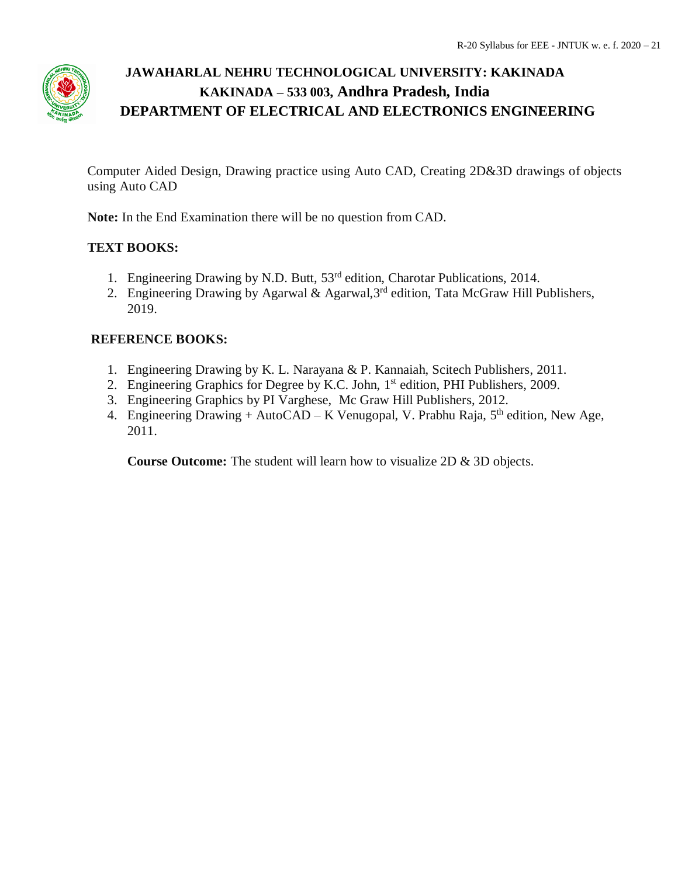

Computer Aided Design, Drawing practice using Auto CAD, Creating 2D&3D drawings of objects using Auto CAD

**Note:** In the End Examination there will be no question from CAD.

## **TEXT BOOKS:**

- 1. Engineering Drawing by N.D. Butt, 53<sup>rd</sup> edition, Charotar Publications, 2014.
- 2. Engineering Drawing by Agarwal & Agarwal,  $3<sup>rd</sup>$  edition, Tata McGraw Hill Publishers, 2019.

## **REFERENCE BOOKS:**

- 1. Engineering Drawing by K. L. Narayana & P. Kannaiah, Scitech Publishers, 2011.
- 2. Engineering Graphics for Degree by K.C. John, 1<sup>st</sup> edition, PHI Publishers, 2009.
- 3. Engineering Graphics by PI Varghese, Mc Graw Hill Publishers, 2012.
- 4. Engineering Drawing + AutoCAD K Venugopal, V. Prabhu Raja,  $5<sup>th</sup>$  edition, New Age, 2011.

**Course Outcome:** The student will learn how to visualize 2D & 3D objects.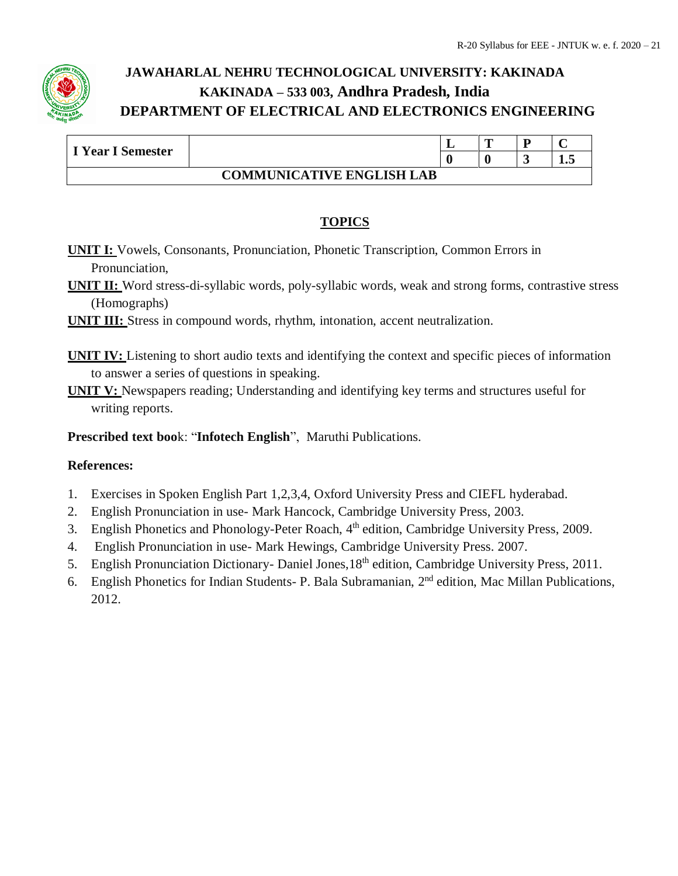

| I Year I Semester |                                  | ┻ | m |  |     |  |  |
|-------------------|----------------------------------|---|---|--|-----|--|--|
|                   |                                  |   |   |  | 1.J |  |  |
|                   | <b>COMMUNICATIVE ENGLISH LAB</b> |   |   |  |     |  |  |

## **TOPICS**

- **UNIT I:** Vowels, Consonants, Pronunciation, Phonetic Transcription, Common Errors in Pronunciation,
- **UNIT II:** Word stress-di-syllabic words, poly-syllabic words, weak and strong forms, contrastive stress (Homographs)
- **UNIT III:** Stress in compound words, rhythm, intonation, accent neutralization.
- **UNIT IV:** Listening to short audio texts and identifying the context and specific pieces of information to answer a series of questions in speaking.
- **UNIT V:** Newspapers reading; Understanding and identifying key terms and structures useful for writing reports.

**Prescribed text boo**k: "**Infotech English**", Maruthi Publications.

## **References:**

- 1. Exercises in Spoken English Part 1,2,3,4, Oxford University Press and CIEFL hyderabad.
- 2. English Pronunciation in use- Mark Hancock, Cambridge University Press, 2003.
- 3. English Phonetics and Phonology-Peter Roach, 4<sup>th</sup> edition, Cambridge University Press, 2009.
- 4. English Pronunciation in use- Mark Hewings, Cambridge University Press. 2007.
- 5. English Pronunciation Dictionary- Daniel Jones, 18<sup>th</sup> edition, Cambridge University Press, 2011.
- 6. English Phonetics for Indian Students- P. Bala Subramanian, 2<sup>nd</sup> edition, Mac Millan Publications, 2012.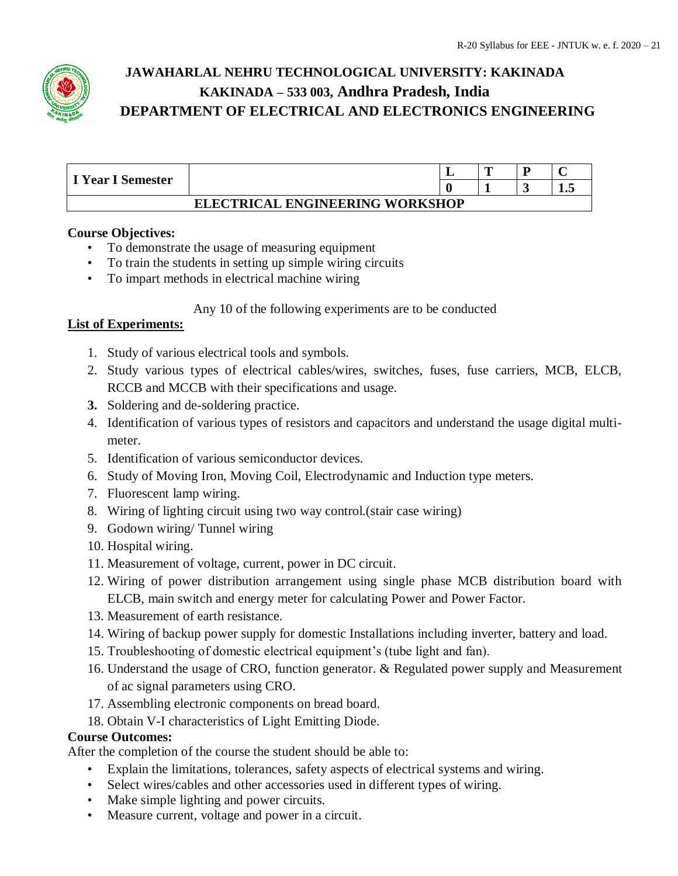

| I Year I Semester                      |  |  | m |  |  |  |  |
|----------------------------------------|--|--|---|--|--|--|--|
|                                        |  |  |   |  |  |  |  |
| <b>ELECTRICAL ENGINEERING WORKSHOP</b> |  |  |   |  |  |  |  |

## **Course Objectives:**

- To demonstrate the usage of measuring equipment
- To train the students in setting up simple wiring circuits
- To impart methods in electrical machine wiring

## Any 10 of the following experiments are to be conducted

## **List of Experiments:**

- 1. Study of various electrical tools and symbols.
- 2. Study various types of electrical cables/wires, switches, fuses, fuse carriers, MCB, ELCB, RCCB and MCCB with their specifications and usage.
- **3.** Soldering and de-soldering practice.
- 4. Identification of various types of resistors and capacitors and understand the usage digital multimeter.
- 5. Identification of various semiconductor devices.
- 6. Study of Moving Iron, Moving Coil, Electrodynamic and Induction type meters.
- 7. Fluorescent lamp wiring.
- 8. Wiring of lighting circuit using two way control.(stair case wiring)
- 9. Godown wiring/ Tunnel wiring
- 10. Hospital wiring.
- 11. Measurement of voltage, current, power in DC circuit.
- 12. Wiring of power distribution arrangement using single phase MCB distribution board with ELCB, main switch and energy meter for calculating Power and Power Factor.
- 13. Measurement of earth resistance.
- 14. Wiring of backup power supply for domestic Installations including inverter, battery and load.
- 15. Troubleshooting of domestic electrical equipment's (tube light and fan).
- 16. Understand the usage of CRO, function generator. & Regulated power supply and Measurement of ac signal parameters using CRO.
- 17. Assembling electronic components on bread board.
- 18. Obtain V-I characteristics of Light Emitting Diode.

## **Course Outcomes:**

After the completion of the course the student should be able to:

- Explain the limitations, tolerances, safety aspects of electrical systems and wiring.
- Select wires/cables and other accessories used in different types of wiring.
- Make simple lighting and power circuits.
- Measure current, voltage and power in a circuit.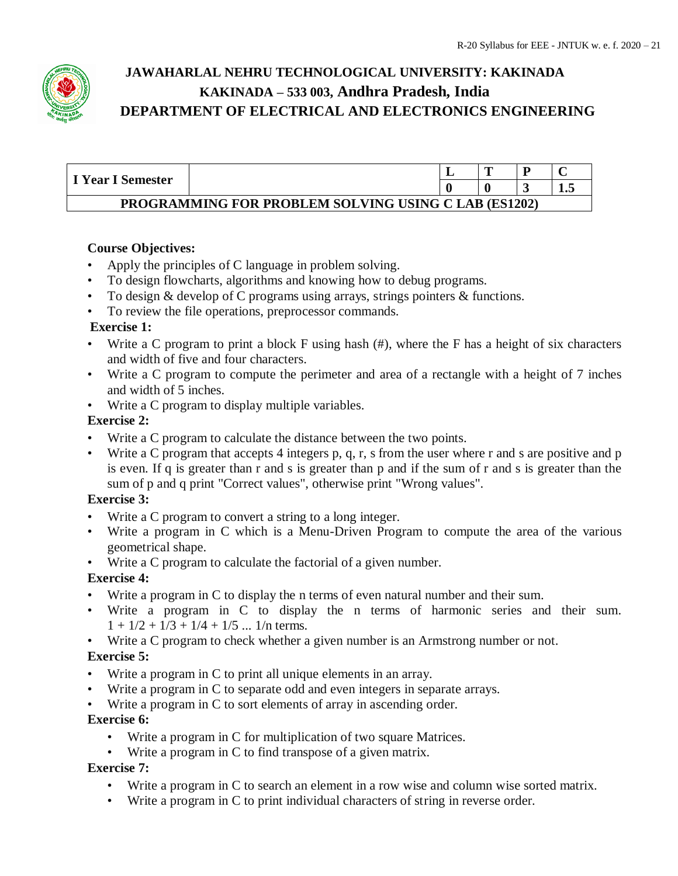

| I Year I Semester                                           |  |  | m |  |  |  |  |
|-------------------------------------------------------------|--|--|---|--|--|--|--|
|                                                             |  |  |   |  |  |  |  |
| <b>PROGRAMMING FOR PROBLEM SOLVING USING C LAB (ES1202)</b> |  |  |   |  |  |  |  |

## **Course Objectives:**

- Apply the principles of C language in problem solving.
- To design flowcharts, algorithms and knowing how to debug programs.
- To design & develop of C programs using arrays, strings pointers & functions.
- To review the file operations, preprocessor commands.

## **Exercise 1:**

- Write a C program to print a block F using hash  $(\#)$ , where the F has a height of six characters and width of five and four characters.
- Write a C program to compute the perimeter and area of a rectangle with a height of 7 inches and width of 5 inches.
- Write a C program to display multiple variables.

## **Exercise 2:**

- Write a C program to calculate the distance between the two points.
- Write a C program that accepts 4 integers p, q, r, s from the user where r and s are positive and p is even. If q is greater than r and s is greater than p and if the sum of r and s is greater than the sum of p and q print "Correct values", otherwise print "Wrong values".

## **Exercise 3:**

- Write a C program to convert a string to a long integer.
- Write a program in C which is a Menu-Driven Program to compute the area of the various geometrical shape.
- Write a C program to calculate the factorial of a given number.

## **Exercise 4:**

- Write a program in C to display the n terms of even natural number and their sum.
- Write a program in C to display the n terms of harmonic series and their sum.  $1 + 1/2 + 1/3 + 1/4 + 1/5$  ... 1/n terms.
- Write a C program to check whether a given number is an Armstrong number or not.

## **Exercise 5:**

- Write a program in C to print all unique elements in an array.
- Write a program in C to separate odd and even integers in separate arrays.
- Write a program in C to sort elements of array in ascending order.

## **Exercise 6:**

- Write a program in C for multiplication of two square Matrices.
- Write a program in C to find transpose of a given matrix.

## **Exercise 7:**

- Write a program in C to search an element in a row wise and column wise sorted matrix.
- Write a program in C to print individual characters of string in reverse order.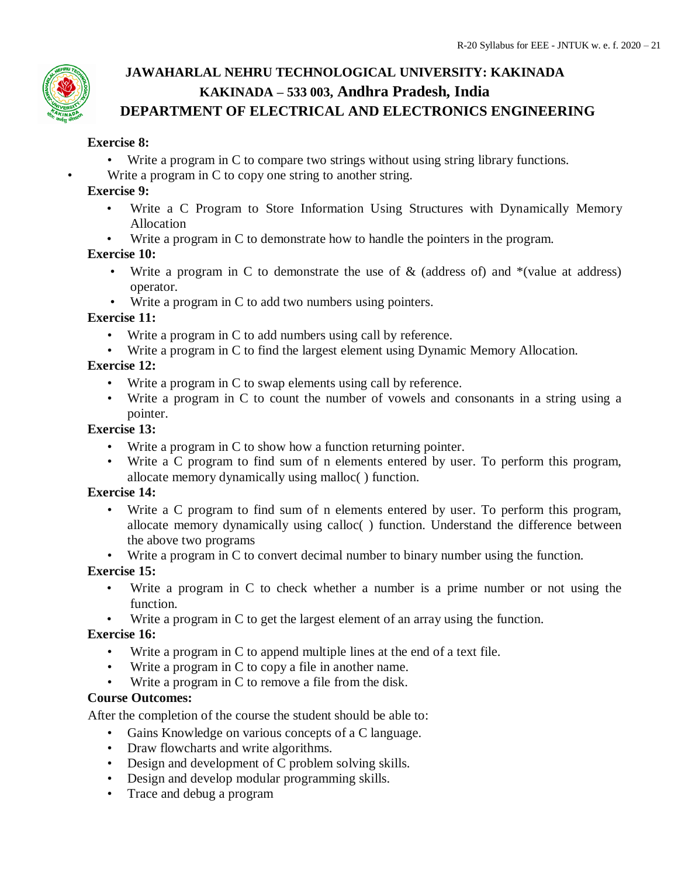## **Exercise 8:**

- Write a program in C to compare two strings without using string library functions.
- Write a program in C to copy one string to another string.

## **Exercise 9:**

- Write a C Program to Store Information Using Structures with Dynamically Memory Allocation
- Write a program in C to demonstrate how to handle the pointers in the program.

## **Exercise 10:**

- Write a program in C to demonstrate the use of  $\&$  (address of) and  $*(value at address)$ operator.
- Write a program in C to add two numbers using pointers.

## **Exercise 11:**

- Write a program in C to add numbers using call by reference.
- Write a program in C to find the largest element using Dynamic Memory Allocation.

## **Exercise 12:**

- Write a program in C to swap elements using call by reference.
- Write a program in C to count the number of vowels and consonants in a string using a pointer.

## **Exercise 13:**

- Write a program in C to show how a function returning pointer.
- Write a C program to find sum of n elements entered by user. To perform this program, allocate memory dynamically using malloc( ) function.

## **Exercise 14:**

- Write a C program to find sum of n elements entered by user. To perform this program, allocate memory dynamically using calloc( ) function. Understand the difference between the above two programs
- Write a program in C to convert decimal number to binary number using the function.

## **Exercise 15:**

- Write a program in C to check whether a number is a prime number or not using the function.
- Write a program in C to get the largest element of an array using the function.

## **Exercise 16:**

- Write a program in C to append multiple lines at the end of a text file.
- Write a program in C to copy a file in another name.
- Write a program in C to remove a file from the disk.

## **Course Outcomes:**

After the completion of the course the student should be able to:

- Gains Knowledge on various concepts of a C language.
- Draw flowcharts and write algorithms.
- Design and development of C problem solving skills.
- Design and develop modular programming skills.
- Trace and debug a program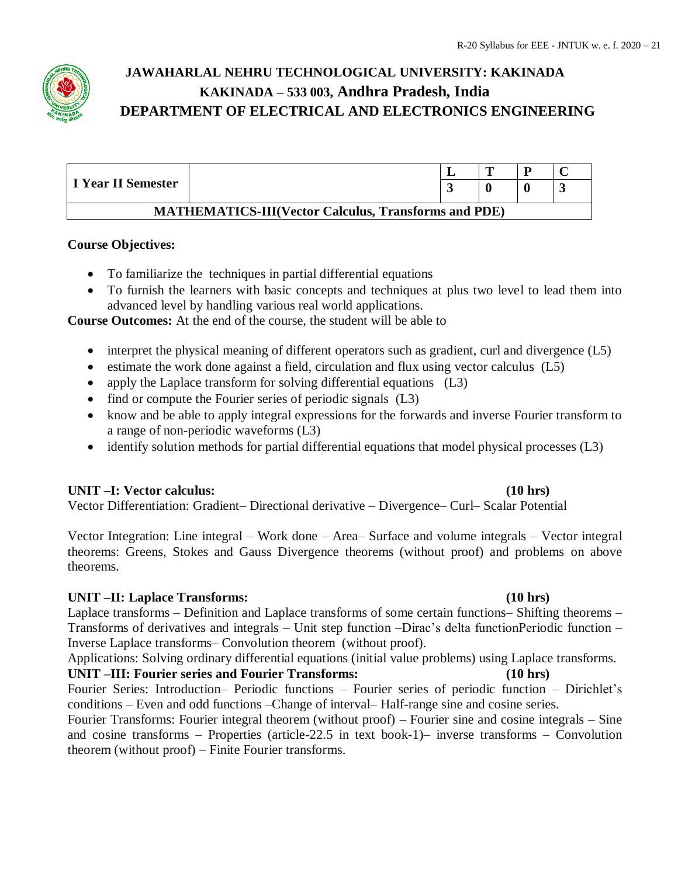

|                                                             |  |  | m |  |  |  |  |  |
|-------------------------------------------------------------|--|--|---|--|--|--|--|--|
| I Year II Semester                                          |  |  |   |  |  |  |  |  |
| <b>MATHEMATICS-III(Vector Calculus, Transforms and PDE)</b> |  |  |   |  |  |  |  |  |

#### **Course Objectives:**

- To familiarize the techniques in partial differential equations
- To furnish the learners with basic concepts and techniques at plus two level to lead them into advanced level by handling various real world applications.

**Course Outcomes:** At the end of the course, the student will be able to

- interpret the physical meaning of different operators such as gradient, curl and divergence (L5)
- $\bullet$  estimate the work done against a field, circulation and flux using vector calculus (L5)
- apply the Laplace transform for solving differential equations (L3)
- find or compute the Fourier series of periodic signals (L3)
- know and be able to apply integral expressions for the forwards and inverse Fourier transform to a range of non-periodic waveforms (L3)
- identify solution methods for partial differential equations that model physical processes (L3)

#### **UNIT –I: Vector calculus: (10 hrs)**

Vector Differentiation: Gradient– Directional derivative – Divergence– Curl– Scalar Potential

Vector Integration: Line integral – Work done – Area– Surface and volume integrals – Vector integral theorems: Greens, Stokes and Gauss Divergence theorems (without proof) and problems on above theorems.

#### **UNIT –II: Laplace Transforms: (10 hrs)**

Laplace transforms – Definition and Laplace transforms of some certain functions– Shifting theorems – Transforms of derivatives and integrals – Unit step function –Dirac's delta functionPeriodic function – Inverse Laplace transforms– Convolution theorem (without proof).

Applications: Solving ordinary differential equations (initial value problems) using Laplace transforms.

**UNIT –III: Fourier series and Fourier Transforms: (10 hrs)** Fourier Series: Introduction– Periodic functions – Fourier series of periodic function – Dirichlet's conditions – Even and odd functions –Change of interval– Half-range sine and cosine series.

Fourier Transforms: Fourier integral theorem (without proof) – Fourier sine and cosine integrals – Sine and cosine transforms – Properties (article-22.5 in text book-1)– inverse transforms – Convolution theorem (without proof) – Finite Fourier transforms.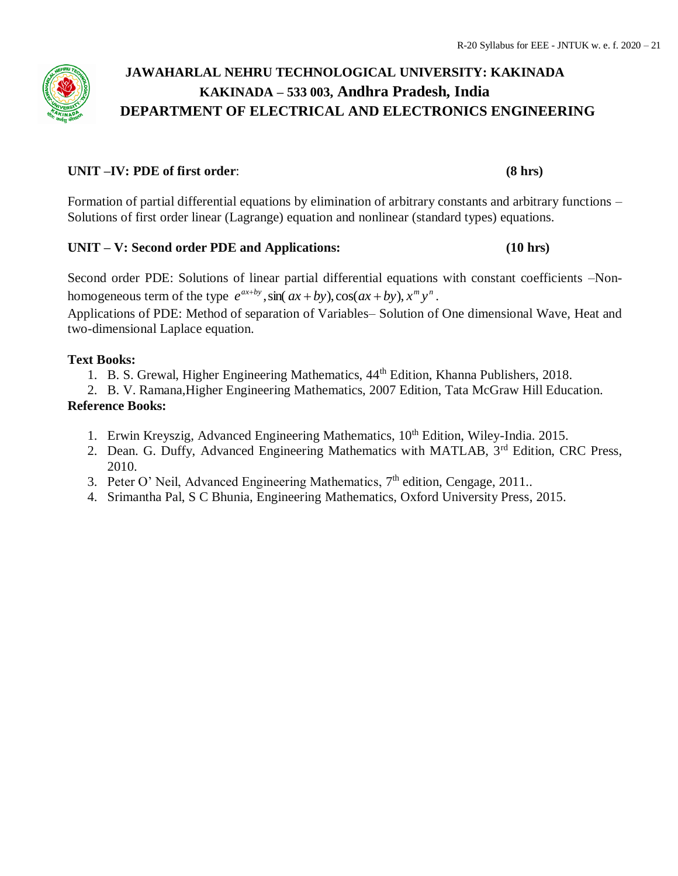### **UNIT –IV: PDE of first order**: **(8 hrs)**

Formation of partial differential equations by elimination of arbitrary constants and arbitrary functions – Solutions of first order linear (Lagrange) equation and nonlinear (standard types) equations.

#### **UNIT – V: Second order PDE and Applications: (10 hrs)**

Second order PDE: Solutions of linear partial differential equations with constant coefficients –Nonhomogeneous term of the type  $e^{ax+by}$ ,  $\sin(ax+by)$ ,  $\cos(ax+by)$ ,  $x^m y^n$ .

Applications of PDE: Method of separation of Variables– Solution of One dimensional Wave, Heat and two-dimensional Laplace equation.

## **Text Books:**

- 1. B. S. Grewal, Higher Engineering Mathematics,  $44<sup>th</sup>$  Edition, Khanna Publishers, 2018.
- 2. B. V. Ramana,Higher Engineering Mathematics, 2007 Edition, Tata McGraw Hill Education. **Reference Books:**
	- 1. Erwin Kreyszig, Advanced Engineering Mathematics, 10<sup>th</sup> Edition, Wiley-India. 2015.
	- 2. Dean. G. Duffy, Advanced Engineering Mathematics with MATLAB, 3<sup>rd</sup> Edition, CRC Press, 2010.
	- 3. Peter O' Neil, Advanced Engineering Mathematics,  $7<sup>th</sup>$  edition, Cengage, 2011..
	- 4. Srimantha Pal, S C Bhunia, Engineering Mathematics, Oxford University Press, 2015.

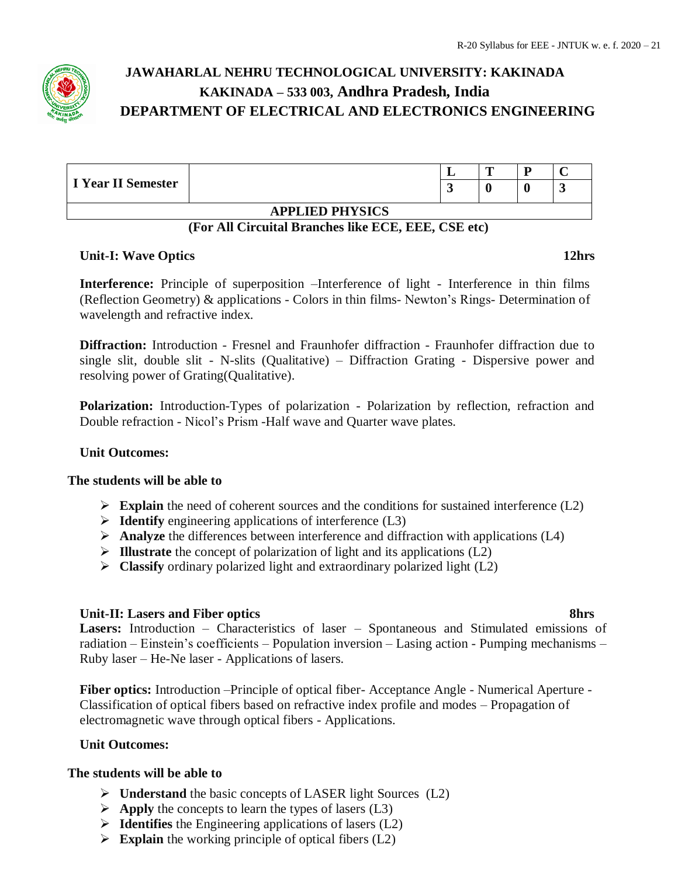| I Year II Semester |                        | ≖ | m | n |           |  |  |  |
|--------------------|------------------------|---|---|---|-----------|--|--|--|
|                    |                        |   |   |   | $\bullet$ |  |  |  |
|                    | <b>APPLIED PHYSICS</b> |   |   |   |           |  |  |  |

#### **(For All Circuital Branches like ECE, EEE, CSE etc)**

## **Unit-I: Wave Optics 12hrs**

**Interference:** Principle of superposition –Interference of light - Interference in thin films (Reflection Geometry) & applications - Colors in thin films- Newton's Rings- Determination of wavelength and refractive index.

**Diffraction:** Introduction - Fresnel and Fraunhofer diffraction - Fraunhofer diffraction due to single slit, double slit - N-slits (Qualitative) – Diffraction Grating - Dispersive power and resolving power of Grating(Qualitative).

**Polarization:** Introduction-Types of polarization - Polarization by reflection, refraction and Double refraction - Nicol's Prism -Half wave and Quarter wave plates.

#### **Unit Outcomes:**

#### **The students will be able to**

- **Explain** the need of coherent sources and the conditions for sustained interference  $(L2)$
- **Identify** engineering applications of interference (L3)
- **Analyze** the differences between interference and diffraction with applications (L4)
- **Illustrate** the concept of polarization of light and its applications (L2)
- **Classify** ordinary polarized light and extraordinary polarized light (L2)

#### **Unit-II: Lasers and Fiber optics 8hrs**

**Lasers:** Introduction – Characteristics of laser – Spontaneous and Stimulated emissions of radiation – Einstein's coefficients – Population inversion – Lasing action - Pumping mechanisms – Ruby laser – He-Ne laser - Applications of lasers.

**Fiber optics:** Introduction –Principle of optical fiber- Acceptance Angle - Numerical Aperture - Classification of optical fibers based on refractive index profile and modes – Propagation of electromagnetic wave through optical fibers - Applications.

#### **Unit Outcomes:**

#### **The students will be able to**

- **Understand** the basic concepts of LASER light Sources (L2)
- $\triangleright$  **Apply** the concepts to learn the types of lasers (L3)
- **Identifies** the Engineering applications of lasers (L2)
- **Explain** the working principle of optical fibers  $(L2)$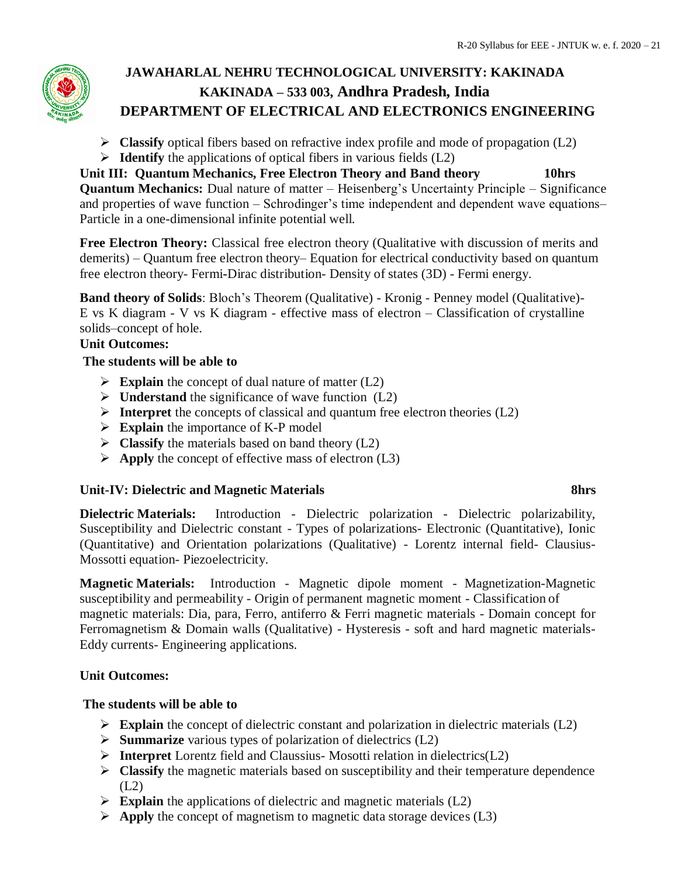- **Classify** optical fibers based on refractive index profile and mode of propagation (L2)
- **Identify** the applications of optical fibers in various fields (L2)

**Unit III: Quantum Mechanics, Free Electron Theory and Band theory 10hrs Quantum Mechanics:** Dual nature of matter – Heisenberg's Uncertainty Principle – Significance and properties of wave function – Schrodinger's time independent and dependent wave equations– Particle in a one-dimensional infinite potential well.

Free Electron Theory: Classical free electron theory (Qualitative with discussion of merits and demerits) – Quantum free electron theory– Equation for electrical conductivity based on quantum free electron theory- Fermi**-**Dirac distribution- Density of states (3D) - Fermi energy.

**Band theory of Solids**: Bloch's Theorem (Qualitative) - Kronig - Penney model (Qualitative)- E vs K diagram - V vs K diagram - effective mass of electron – Classification of crystalline solids–concept of hole.

## **Unit Outcomes:**

## **The students will be able to**

- $\triangleright$  **Explain** the concept of dual nature of matter (L2)
- **Understand** the significance of wave function (L2)
- **Interpret** the concepts of classical and quantum free electron theories (L2)
- **Explain** the importance of K-P model
- $\triangleright$  **Classify** the materials based on band theory (L2)
- $\triangleright$  **Apply** the concept of effective mass of electron (L3)

## **Unit-IV: Dielectric and Magnetic Materials 8hrs**

**Dielectric Materials:** Introduction - Dielectric polarization - Dielectric polarizability, Susceptibility and Dielectric constant - Types of polarizations- Electronic (Quantitative), Ionic (Quantitative) and Orientation polarizations (Qualitative) - Lorentz internal field- Clausius-Mossotti equation- Piezoelectricity.

**Magnetic Materials:** Introduction - Magnetic dipole moment - Magnetization-Magnetic susceptibility and permeability - Origin of permanent magnetic moment - Classification of magnetic materials: Dia, para, Ferro, antiferro & Ferri magnetic materials - Domain concept for Ferromagnetism & Domain walls (Qualitative) - Hysteresis - soft and hard magnetic materials-Eddy currents- Engineering applications.

## **Unit Outcomes:**

## **The students will be able to**

- **Explain** the concept of dielectric constant and polarization in dielectric materials (L2)
- **Summarize** various types of polarization of dielectrics (L2)
- **Interpret** Lorentz field and Claussius- Mosotti relation in dielectrics(L2)
- **Classify** the magnetic materials based on susceptibility and their temperature dependence  $(L2)$
- **Explain** the applications of dielectric and magnetic materials (L2)
- $\triangleright$  **Apply** the concept of magnetism to magnetic data storage devices (L3)

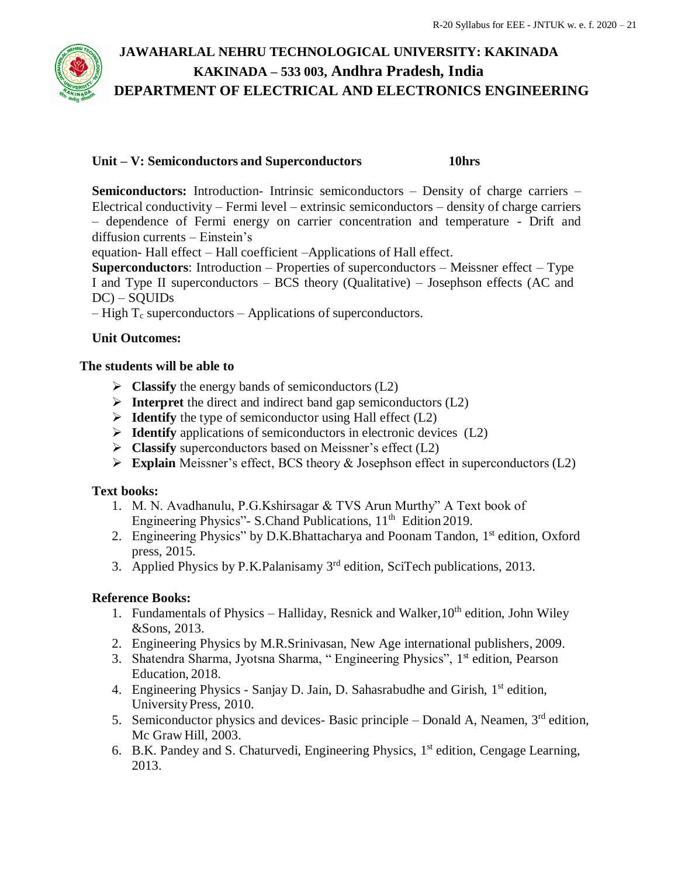

## **Unit – V: Semiconductors and Superconductors 10hrs**

**Semiconductors:** Introduction- Intrinsic semiconductors – Density of charge carriers – Electrical conductivity – Fermi level – extrinsic semiconductors – density of charge carriers – dependence of Fermi energy on carrier concentration and temperature - Drift and diffusion currents – Einstein's

equation- Hall effect – Hall coefficient –Applications of Hall effect.

**Superconductors**: Introduction – Properties of superconductors – Meissner effect – Type I and Type II superconductors – BCS theory (Qualitative) – Josephson effects (AC and DC) – SQUIDs

– High  $T_c$  superconductors – Applications of superconductors.

## **Unit Outcomes:**

## **The students will be able to**

- $\triangleright$  **Classify** the energy bands of semiconductors (L2)
- $\triangleright$  **Interpret** the direct and indirect band gap semiconductors (L2)
- $\triangleright$  **Identify** the type of semiconductor using Hall effect (L2)
- **Identify** applications of semiconductors in electronic devices (L2)
- **Classify** superconductors based on Meissner's effect (L2)
- **Explain** Meissner's effect, BCS theory & Josephson effect in superconductors (L2)

#### **Text books:**

- 1. M. N. Avadhanulu, P.G.Kshirsagar & TVS Arun Murthy" A Text book of Engineering Physics" - S.Chand Publications,  $11<sup>th</sup>$  Edition 2019.
- 2. Engineering Physics" by D.K.Bhattacharya and Poonam Tandon, 1<sup>st</sup> edition, Oxford press, 2015.
- 3. Applied Physics by P.K.Palanisamy 3<sup>rd</sup> edition, SciTech publications, 2013.

## **Reference Books:**

- 1. Fundamentals of Physics Halliday, Resnick and Walker,  $10<sup>th</sup>$  edition, John Wiley &Sons, 2013.
- 2. Engineering Physics by M.R.Srinivasan, New Age international publishers, 2009.
- 3. Shatendra Sharma, Jyotsna Sharma, "Engineering Physics", 1<sup>st</sup> edition, Pearson Education, 2018.
- 4. Engineering Physics Sanjay D. Jain, D. Sahasrabudhe and Girish, 1<sup>st</sup> edition, UniversityPress, 2010.
- 5. Semiconductor physics and devices- Basic principle  $-$  Donald A, Neamen,  $3<sup>rd</sup>$  edition, Mc Graw Hill, 2003.
- 6. B.K. Pandey and S. Chaturvedi, Engineering Physics, 1 st edition, Cengage Learning, 2013.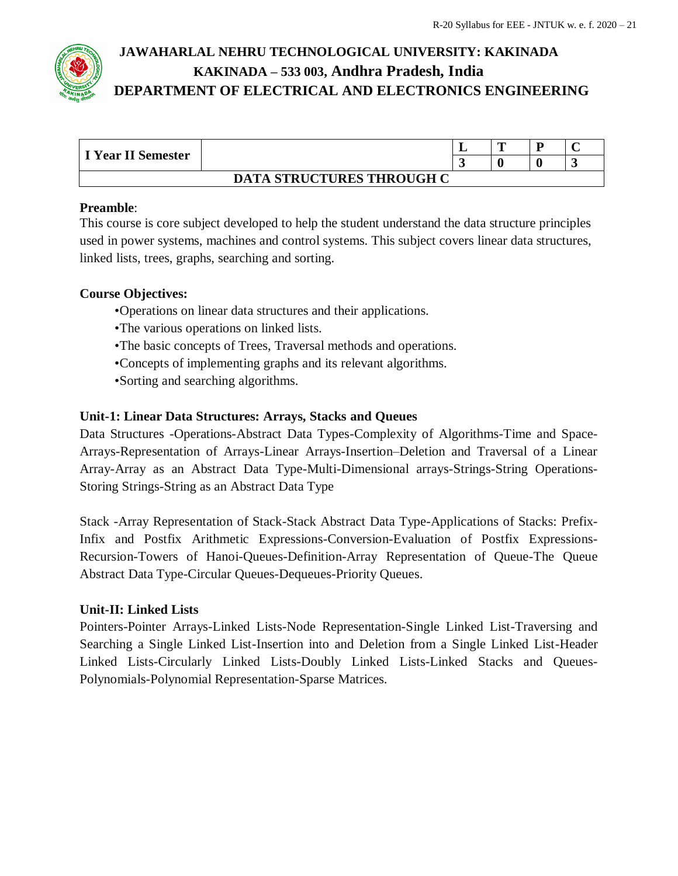

| I Year II Semester               |  |                          | m | D |  |  |
|----------------------------------|--|--------------------------|---|---|--|--|
|                                  |  | $\overline{\phantom{a}}$ |   |   |  |  |
| <b>DATA STRUCTURES THROUGH C</b> |  |                          |   |   |  |  |

## **Preamble**:

This course is core subject developed to help the student understand the data structure principles used in power systems, machines and control systems. This subject covers linear data structures, linked lists, trees, graphs, searching and sorting.

## **Course Objectives:**

- •Operations on linear data structures and their applications.
- •The various operations on linked lists.
- •The basic concepts of Trees, Traversal methods and operations.
- •Concepts of implementing graphs and its relevant algorithms.
- •Sorting and searching algorithms.

## **Unit-1: Linear Data Structures: Arrays, Stacks and Queues**

Data Structures -Operations-Abstract Data Types-Complexity of Algorithms-Time and Space-Arrays-Representation of Arrays-Linear Arrays-Insertion–Deletion and Traversal of a Linear Array-Array as an Abstract Data Type-Multi-Dimensional arrays-Strings-String Operations-Storing Strings-String as an Abstract Data Type

Stack -Array Representation of Stack-Stack Abstract Data Type-Applications of Stacks: Prefix-Infix and Postfix Arithmetic Expressions-Conversion-Evaluation of Postfix Expressions-Recursion-Towers of Hanoi-Queues-Definition-Array Representation of Queue-The Queue Abstract Data Type-Circular Queues-Dequeues-Priority Queues.

#### **Unit-II: Linked Lists**

Pointers-Pointer Arrays-Linked Lists-Node Representation-Single Linked List-Traversing and Searching a Single Linked List-Insertion into and Deletion from a Single Linked List-Header Linked Lists-Circularly Linked Lists-Doubly Linked Lists-Linked Stacks and Queues-Polynomials-Polynomial Representation-Sparse Matrices.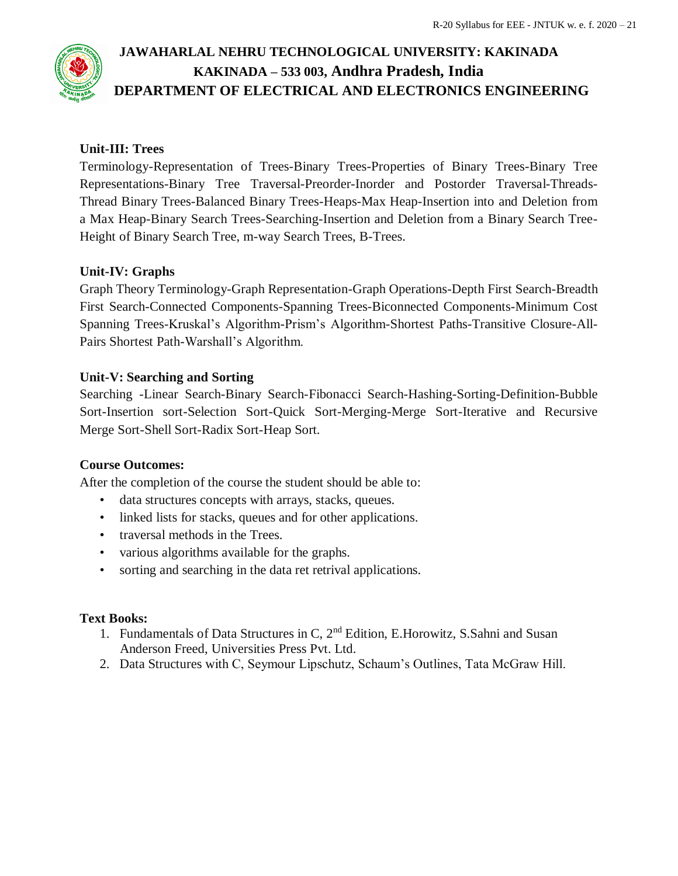## **Unit-III: Trees**

Terminology-Representation of Trees-Binary Trees-Properties of Binary Trees-Binary Tree Representations-Binary Tree Traversal-Preorder-Inorder and Postorder Traversal-Threads-Thread Binary Trees-Balanced Binary Trees-Heaps-Max Heap-Insertion into and Deletion from a Max Heap-Binary Search Trees-Searching-Insertion and Deletion from a Binary Search Tree-Height of Binary Search Tree, m-way Search Trees, B-Trees.

## **Unit-IV: Graphs**

Graph Theory Terminology-Graph Representation-Graph Operations-Depth First Search-Breadth First Search-Connected Components-Spanning Trees-Biconnected Components-Minimum Cost Spanning Trees-Kruskal's Algorithm-Prism's Algorithm-Shortest Paths-Transitive Closure-All-Pairs Shortest Path-Warshall's Algorithm.

## **Unit-V: Searching and Sorting**

Searching -Linear Search-Binary Search-Fibonacci Search-Hashing-Sorting-Definition-Bubble Sort-Insertion sort-Selection Sort-Quick Sort-Merging-Merge Sort-Iterative and Recursive Merge Sort-Shell Sort-Radix Sort-Heap Sort.

## **Course Outcomes:**

After the completion of the course the student should be able to:

- data structures concepts with arrays, stacks, queues.
- linked lists for stacks, queues and for other applications.
- traversal methods in the Trees.
- various algorithms available for the graphs.
- sorting and searching in the data ret retrival applications.

## **Text Books:**

- 1. Fundamentals of Data Structures in C, 2nd Edition, E.Horowitz, S.Sahni and Susan Anderson Freed, Universities Press Pvt. Ltd.
- 2. Data Structures with C, Seymour Lipschutz, Schaum's Outlines, Tata McGraw Hill.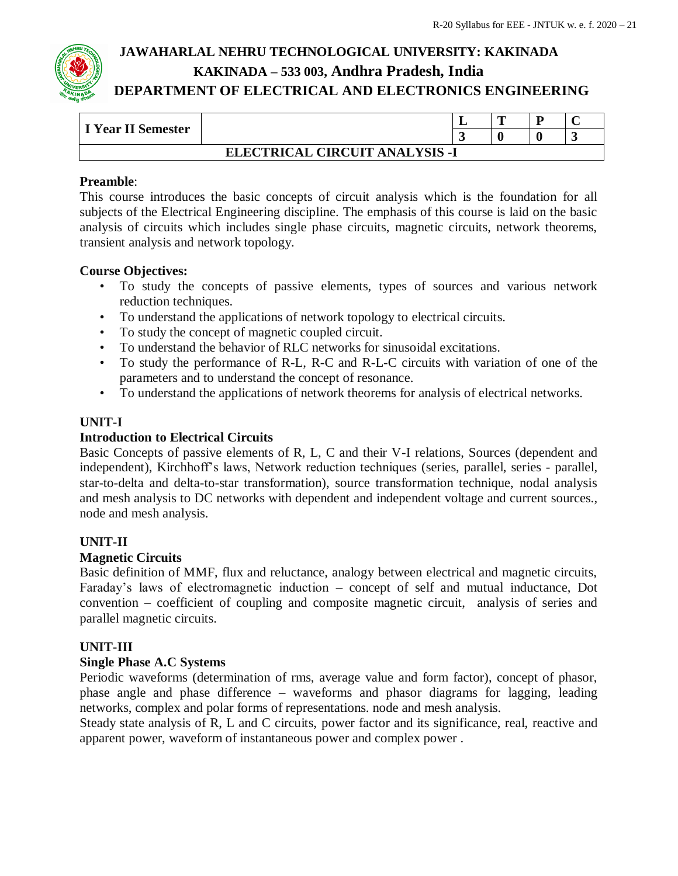| <b>I Year II Semester</b>      |  |                          | m | ח |  |  |
|--------------------------------|--|--------------------------|---|---|--|--|
|                                |  | $\overline{\phantom{a}}$ |   |   |  |  |
| ELECTRICAL CIRCUIT ANALYSIS -I |  |                          |   |   |  |  |

## **Preamble**:

This course introduces the basic concepts of circuit analysis which is the foundation for all subjects of the Electrical Engineering discipline. The emphasis of this course is laid on the basic analysis of circuits which includes single phase circuits, magnetic circuits, network theorems, transient analysis and network topology.

## **Course Objectives:**

- To study the concepts of passive elements, types of sources and various network reduction techniques.
- To understand the applications of network topology to electrical circuits.
- To study the concept of magnetic coupled circuit.
- To understand the behavior of RLC networks for sinusoidal excitations.
- To study the performance of R-L, R-C and R-L-C circuits with variation of one of the parameters and to understand the concept of resonance.
- To understand the applications of network theorems for analysis of electrical networks.

## **UNIT-I**

#### **Introduction to Electrical Circuits**

Basic Concepts of passive elements of R, L, C and their V-I relations, Sources (dependent and independent), Kirchhoff's laws, Network reduction techniques (series, parallel, series - parallel, star-to-delta and delta-to-star transformation), source transformation technique, nodal analysis and mesh analysis to DC networks with dependent and independent voltage and current sources., node and mesh analysis.

#### **UNIT-II**

#### **Magnetic Circuits**

Basic definition of MMF, flux and reluctance, analogy between electrical and magnetic circuits, Faraday's laws of electromagnetic induction – concept of self and mutual inductance, Dot convention – coefficient of coupling and composite magnetic circuit, analysis of series and parallel magnetic circuits.

#### **UNIT-III**

#### **Single Phase A.C Systems**

Periodic waveforms (determination of rms, average value and form factor), concept of phasor, phase angle and phase difference – waveforms and phasor diagrams for lagging, leading networks, complex and polar forms of representations. node and mesh analysis.

Steady state analysis of R, L and C circuits, power factor and its significance, real, reactive and apparent power, waveform of instantaneous power and complex power .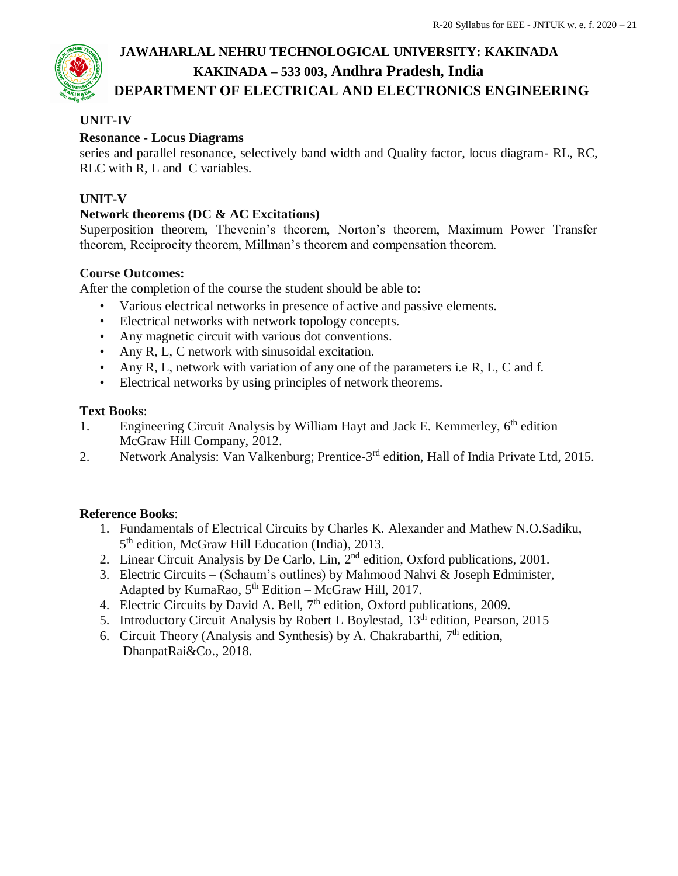## **UNIT-IV**

## **Resonance - Locus Diagrams**

series and parallel resonance, selectively band width and Quality factor, locus diagram- RL, RC, RLC with R, L and C variables.

## **UNIT-V**

## **Network theorems (DC & AC Excitations)**

Superposition theorem, Thevenin's theorem, Norton's theorem, Maximum Power Transfer theorem, Reciprocity theorem, Millman's theorem and compensation theorem.

## **Course Outcomes:**

After the completion of the course the student should be able to:

- Various electrical networks in presence of active and passive elements.
- Electrical networks with network topology concepts.
- Any magnetic circuit with various dot conventions.
- Any R, L, C network with sinusoidal excitation.
- Any R, L, network with variation of any one of the parameters i.e R, L, C and f.
- Electrical networks by using principles of network theorems.

## **Text Books**:

- 1. Engineering Circuit Analysis by William Hayt and Jack E. Kemmerley, 6<sup>th</sup> edition McGraw Hill Company, 2012.
- 2. Network Analysis: Van Valkenburg; Prentice-3<sup>rd</sup> edition, Hall of India Private Ltd, 2015.

## **Reference Books**:

- 1. Fundamentals of Electrical Circuits by Charles K. Alexander and Mathew N.O.Sadiku, 5<sup>th</sup> edition, McGraw Hill Education (India), 2013.
- 2. Linear Circuit Analysis by De Carlo, Lin, 2<sup>nd</sup> edition, Oxford publications, 2001.
- 3. Electric Circuits (Schaum's outlines) by Mahmood Nahvi & Joseph Edminister, Adapted by KumaRao,  $5<sup>th</sup> Edition - McGraw Hill, 2017$ .
- 4. Electric Circuits by David A. Bell,  $7<sup>th</sup>$  edition, Oxford publications, 2009.
- 5. Introductory Circuit Analysis by Robert L Boylestad, 13<sup>th</sup> edition, Pearson, 2015
- 6. Circuit Theory (Analysis and Synthesis) by A. Chakrabarthi,  $7<sup>th</sup>$  edition, DhanpatRai&Co., 2018.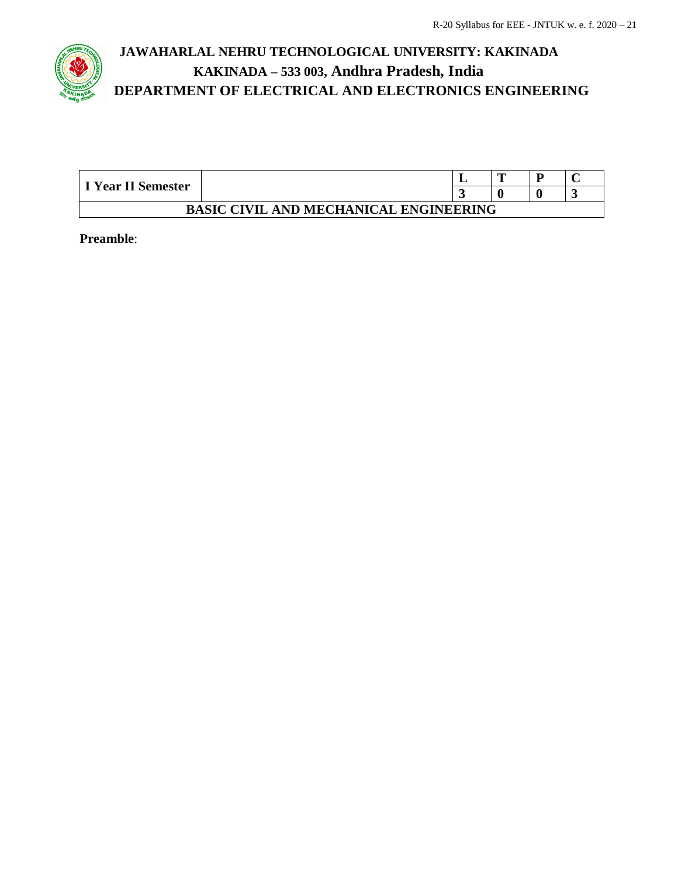

| I Year II Semester                            |  |  | m |  |  |  |
|-----------------------------------------------|--|--|---|--|--|--|
|                                               |  |  |   |  |  |  |
| <b>BASIC CIVIL AND MECHANICAL ENGINEERING</b> |  |  |   |  |  |  |

**Preamble**: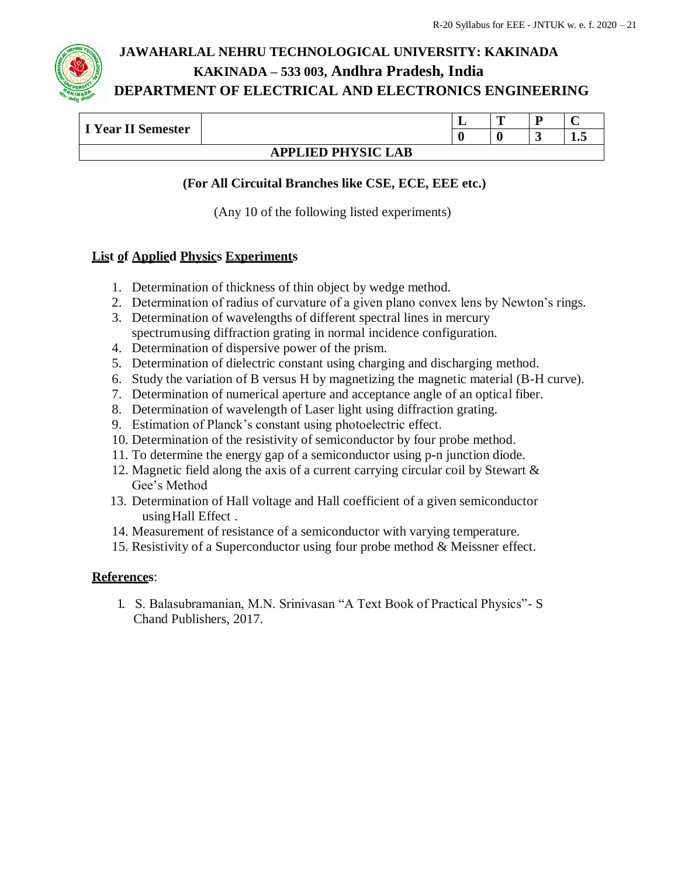| I Year II Semester        |  | ≖ | œ |        |     |
|---------------------------|--|---|---|--------|-----|
|                           |  |   |   | $\sim$ | ⊥•◡ |
| <b>APPLIED PHYSIC LAB</b> |  |   |   |        |     |

## **(For All Circuital Branches like CSE, ECE, EEE etc.)**

(Any 10 of the following listed experiments)

## **List of Applied Physics Experiments**

- 1. Determination of thickness of thin object by wedge method.
- 2. Determination of radius of curvature of a given plano convex lens by Newton's rings.
- 3. Determination of wavelengths of different spectral lines in mercury spectrumusing diffraction grating in normal incidence configuration.
- 4. Determination of dispersive power of the prism.
- 5. Determination of dielectric constant using charging and discharging method.
- 6. Study the variation of B versus H by magnetizing the magnetic material (B-H curve).
- 7. Determination of numerical aperture and acceptance angle of an optical fiber.
- 8. Determination of wavelength of Laser light using diffraction grating.
- 9. Estimation of Planck's constant using photoelectric effect.
- 10. Determination of the resistivity of semiconductor by four probe method.
- 11. To determine the energy gap of a semiconductor using p**-**n junction diode.
- 12. Magnetic field along the axis of a current carrying circular coil by Stewart & Gee's Method
- 13. Determination of Hall voltage and Hall coefficient of a given semiconductor using Hall Effect.
- 14. Measurement of resistance of a semiconductor with varying temperature.
- 15. Resistivity of a Superconductor using four probe method & Meissner effect.

#### **References**:

1. S. Balasubramanian, M.N. Srinivasan "A Text Book of Practical Physics"- S Chand Publishers, 2017.

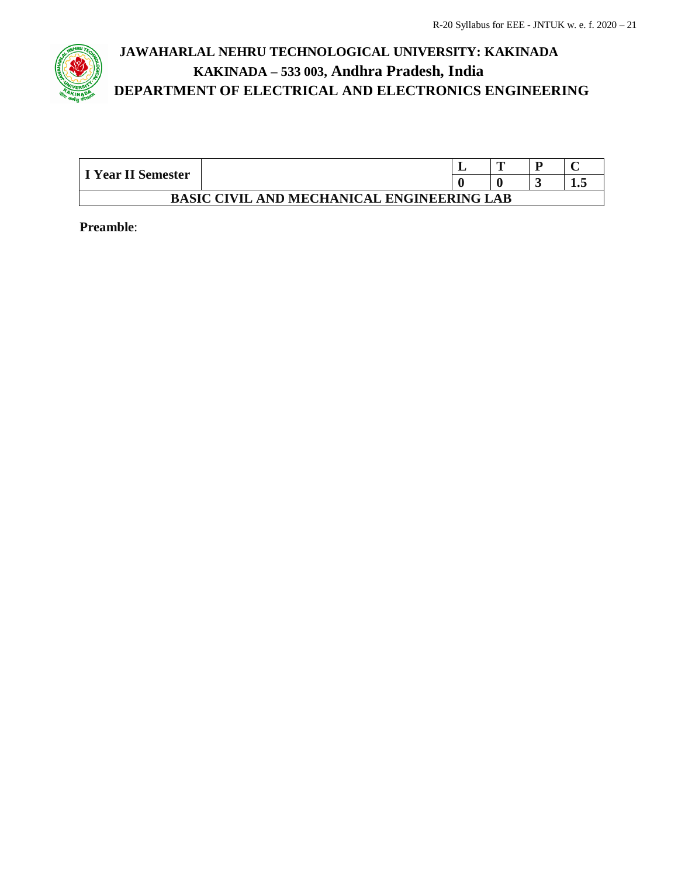

| I Year II Semester                                |  |  | m |     |  |
|---------------------------------------------------|--|--|---|-----|--|
|                                                   |  |  |   | 1.J |  |
| <b>BASIC CIVIL AND MECHANICAL ENGINEERING LAB</b> |  |  |   |     |  |

**Preamble**: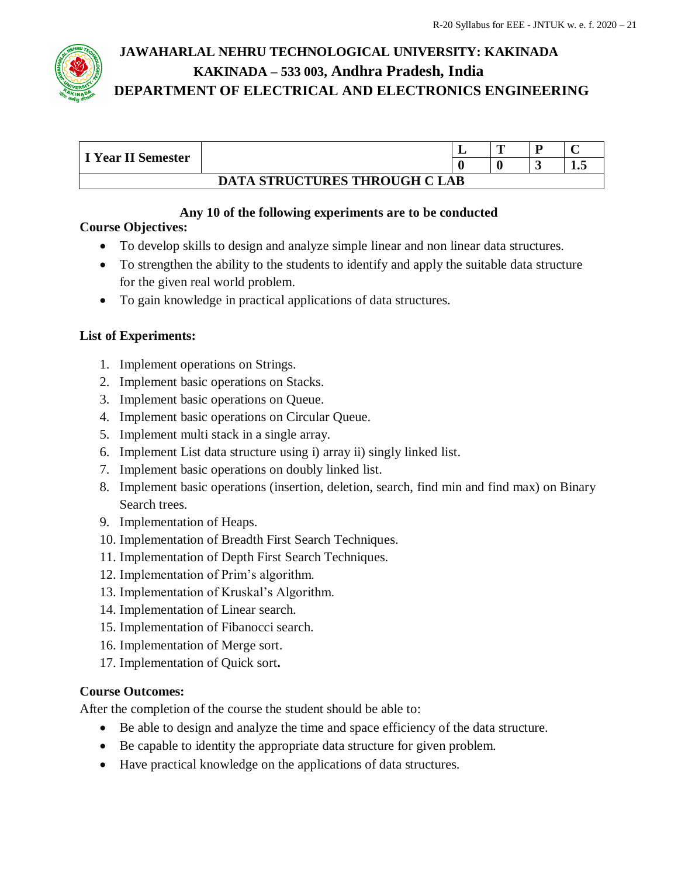

| I Year II Semester                   |  | -- | m |  |     |  |
|--------------------------------------|--|----|---|--|-----|--|
|                                      |  |    |   |  | ⊥.J |  |
| <b>DATA STRUCTURES THROUGH C LAB</b> |  |    |   |  |     |  |

## **Any 10 of the following experiments are to be conducted**

## **Course Objectives:**

- To develop skills to design and analyze simple linear and non linear data structures.
- To strengthen the ability to the students to identify and apply the suitable data structure for the given real world problem.
- To gain knowledge in practical applications of data structures.

## **List of Experiments:**

- 1. Implement operations on Strings.
- 2. Implement basic operations on Stacks.
- 3. Implement basic operations on Queue.
- 4. Implement basic operations on Circular Queue.
- 5. Implement multi stack in a single array.
- 6. Implement List data structure using i) array ii) singly linked list.
- 7. Implement basic operations on doubly linked list.
- 8. Implement basic operations (insertion, deletion, search, find min and find max) on Binary Search trees.
- 9. Implementation of Heaps.
- 10. Implementation of Breadth First Search Techniques.
- 11. Implementation of Depth First Search Techniques.
- 12. Implementation of Prim's algorithm.
- 13. Implementation of Kruskal's Algorithm.
- 14. Implementation of Linear search.
- 15. Implementation of Fibanocci search.
- 16. Implementation of Merge sort.
- 17. Implementation of Quick sort**.**

## **Course Outcomes:**

After the completion of the course the student should be able to:

- Be able to design and analyze the time and space efficiency of the data structure.
- Be capable to identity the appropriate data structure for given problem.
- Have practical knowledge on the applications of data structures.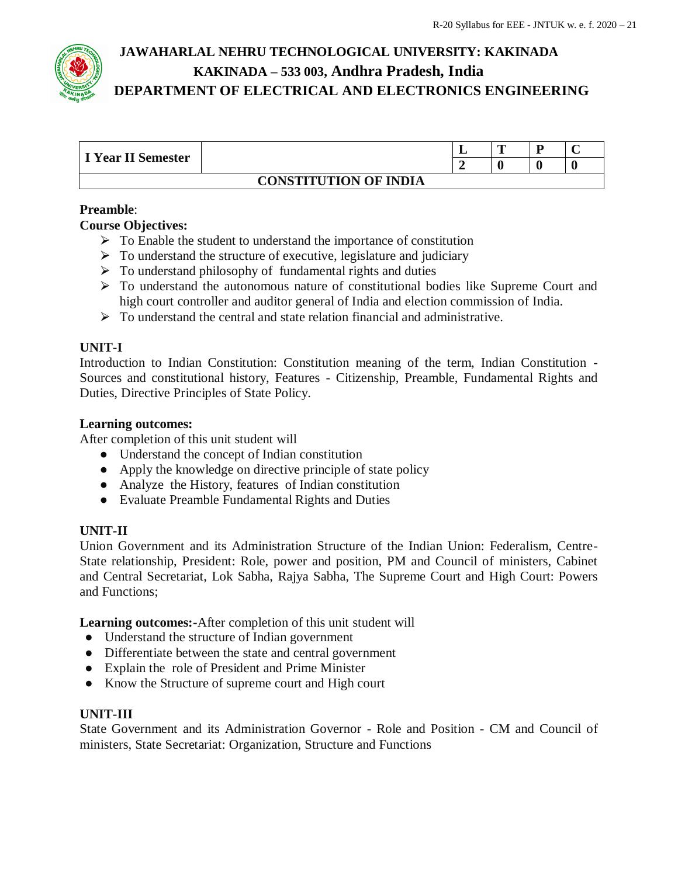

| I Year II Semester           |  |  | m | ┳ |  |
|------------------------------|--|--|---|---|--|
|                              |  |  |   |   |  |
| <b>CONSTITUTION OF INDIA</b> |  |  |   |   |  |

## **Preamble**:

## **Course Objectives:**

- $\triangleright$  To Enable the student to understand the importance of constitution
- $\triangleright$  To understand the structure of executive, legislature and judiciary
- $\triangleright$  To understand philosophy of fundamental rights and duties
- ⮚ To understand the autonomous nature of constitutional bodies like Supreme Court and high court controller and auditor general of India and election commission of India.
- $\triangleright$  To understand the central and state relation financial and administrative.

## **UNIT-I**

Introduction to Indian Constitution: Constitution meaning of the term, Indian Constitution - Sources and constitutional history, Features - Citizenship, Preamble, Fundamental Rights and Duties, Directive Principles of State Policy.

#### **Learning outcomes:**

After completion of this unit student will

- Understand the concept of Indian constitution
- Apply the knowledge on directive principle of state policy
- Analyze the History, features of Indian constitution
- Evaluate Preamble Fundamental Rights and Duties

#### **UNIT-II**

Union Government and its Administration Structure of the Indian Union: Federalism, Centre-State relationship, President: Role, power and position, PM and Council of ministers, Cabinet and Central Secretariat, Lok Sabha, Rajya Sabha, The Supreme Court and High Court: Powers and Functions;

**Learning outcomes:-**After completion of this unit student will

- Understand the structure of Indian government
- Differentiate between the state and central government
- Explain the role of President and Prime Minister
- Know the Structure of supreme court and High court

#### **UNIT-III**

State Government and its Administration Governor - Role and Position - CM and Council of ministers, State Secretariat: Organization, Structure and Functions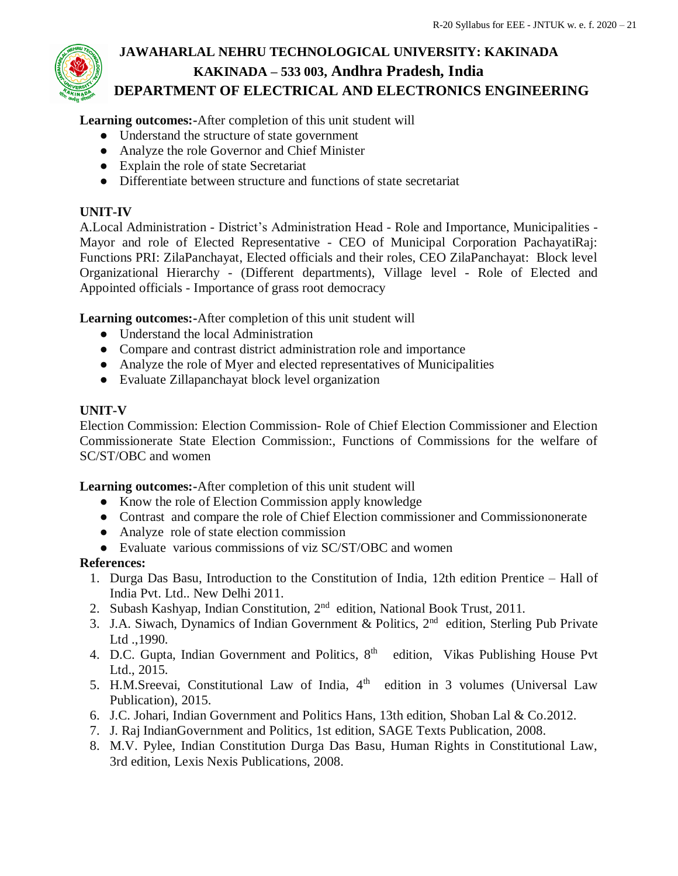**Learning outcomes:-**After completion of this unit student will

- Understand the structure of state government
- Analyze the role Governor and Chief Minister
- Explain the role of state Secretariat
- Differentiate between structure and functions of state secretariat

## **UNIT-IV**

A.Local Administration - District's Administration Head - Role and Importance, Municipalities - Mayor and role of Elected Representative - CEO of Municipal Corporation PachayatiRaj: Functions PRI: ZilaPanchayat, Elected officials and their roles, CEO ZilaPanchayat: Block level Organizational Hierarchy - (Different departments), Village level - Role of Elected and Appointed officials - Importance of grass root democracy

**Learning outcomes:-**After completion of this unit student will

- Understand the local Administration
- Compare and contrast district administration role and importance
- Analyze the role of Myer and elected representatives of Municipalities
- Evaluate Zillapanchayat block level organization

## **UNIT-V**

Election Commission: Election Commission- Role of Chief Election Commissioner and Election Commissionerate State Election Commission:, Functions of Commissions for the welfare of SC/ST/OBC and women

**Learning outcomes:-**After completion of this unit student will

- Know the role of Election Commission apply knowledge
- Contrast and compare the role of Chief Election commissioner and Commissiononerate
- Analyze role of state election commission
- Evaluate various commissions of viz SC/ST/OBC and women

#### **References:**

- 1. Durga Das Basu, Introduction to the Constitution of India, 12th edition Prentice Hall of India Pvt. Ltd.. New Delhi 2011.
- 2. Subash Kashyap, Indian Constitution, 2<sup>nd</sup> edition, National Book Trust, 2011.
- 3. J.A. Siwach, Dynamics of Indian Government & Politics, 2<sup>nd</sup> edition, Sterling Pub Private Ltd .,1990.
- 4. D.C. Gupta, Indian Government and Politics,  $8<sup>th</sup>$  edition, Vikas Publishing House Pvt Ltd., 2015.
- 5. H.M.Sreevai, Constitutional Law of India,  $4<sup>th</sup>$  edition in 3 volumes (Universal Law Publication), 2015.
- 6. J.C. Johari, Indian Government and Politics Hans, 13th edition, Shoban Lal & Co.2012.
- 7. J. Raj IndianGovernment and Politics, 1st edition, SAGE Texts Publication, 2008.
- 8. M.V. Pylee, Indian Constitution Durga Das Basu, Human Rights in Constitutional Law, 3rd edition, Lexis Nexis Publications, 2008.